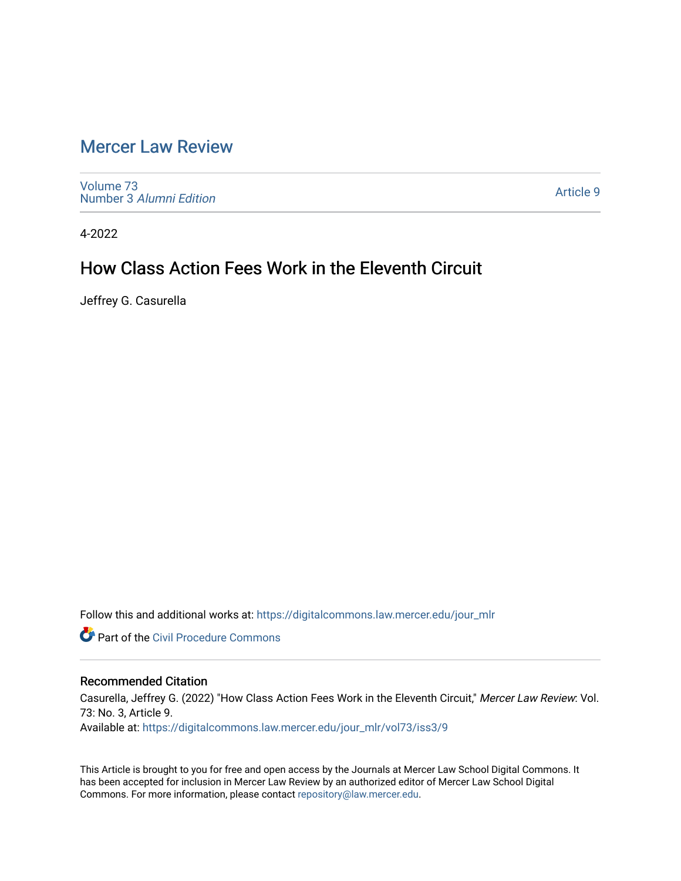# [Mercer Law Review](https://digitalcommons.law.mercer.edu/jour_mlr)

[Volume 73](https://digitalcommons.law.mercer.edu/jour_mlr/vol73) Number 3 [Alumni Edition](https://digitalcommons.law.mercer.edu/jour_mlr/vol73/iss3) 

[Article 9](https://digitalcommons.law.mercer.edu/jour_mlr/vol73/iss3/9) 

4-2022

## How Class Action Fees Work in the Eleventh Circuit

Jeffrey G. Casurella

Follow this and additional works at: [https://digitalcommons.law.mercer.edu/jour\\_mlr](https://digitalcommons.law.mercer.edu/jour_mlr?utm_source=digitalcommons.law.mercer.edu%2Fjour_mlr%2Fvol73%2Fiss3%2F9&utm_medium=PDF&utm_campaign=PDFCoverPages)

**Part of the Civil Procedure Commons** 

## Recommended Citation

Casurella, Jeffrey G. (2022) "How Class Action Fees Work in the Eleventh Circuit," Mercer Law Review: Vol. 73: No. 3, Article 9. Available at: [https://digitalcommons.law.mercer.edu/jour\\_mlr/vol73/iss3/9](https://digitalcommons.law.mercer.edu/jour_mlr/vol73/iss3/9?utm_source=digitalcommons.law.mercer.edu%2Fjour_mlr%2Fvol73%2Fiss3%2F9&utm_medium=PDF&utm_campaign=PDFCoverPages)

This Article is brought to you for free and open access by the Journals at Mercer Law School Digital Commons. It has been accepted for inclusion in Mercer Law Review by an authorized editor of Mercer Law School Digital Commons. For more information, please contact [repository@law.mercer.edu.](mailto:repository@law.mercer.edu)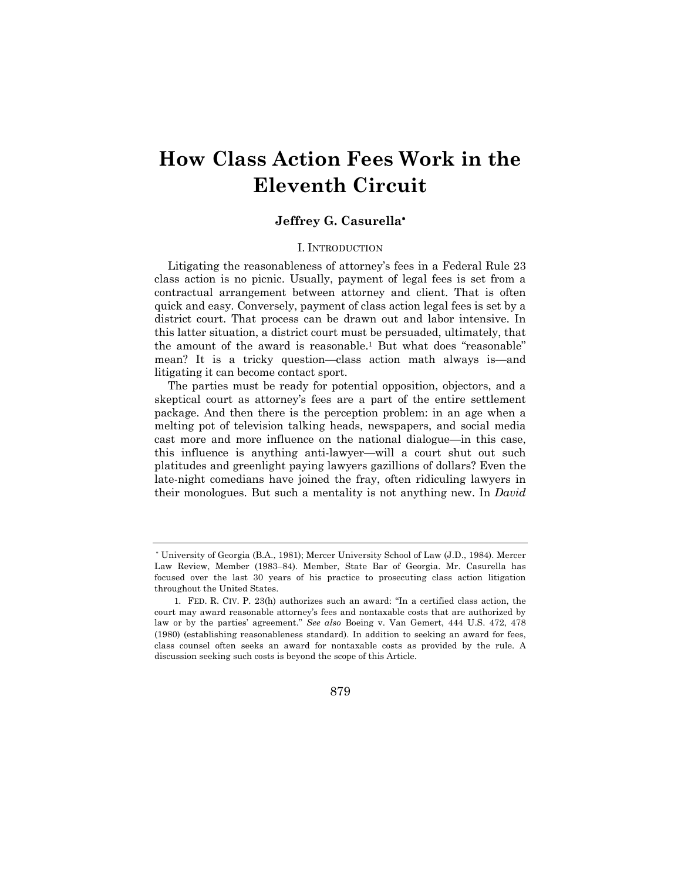# **How Class Action Fees Work in the Eleventh Circuit**

### **Jeffrey G. Casurella**\*

#### I. INTRODUCTION

Litigating the reasonableness of attorney's fees in a Federal Rule 23 class action is no picnic. Usually, payment of legal fees is set from a contractual arrangement between attorney and client. That is often quick and easy. Conversely, payment of class action legal fees is set by a district court. That process can be drawn out and labor intensive. In this latter situation, a district court must be persuaded, ultimately, that the amount of the award is reasonable.1 But what does "reasonable" mean? It is a tricky question—class action math always is—and litigating it can become contact sport.

The parties must be ready for potential opposition, objectors, and a skeptical court as attorney's fees are a part of the entire settlement package. And then there is the perception problem: in an age when a melting pot of television talking heads, newspapers, and social media cast more and more influence on the national dialogue—in this case, this influence is anything anti-lawyer—will a court shut out such platitudes and greenlight paying lawyers gazillions of dollars? Even the late-night comedians have joined the fray, often ridiculing lawyers in their monologues. But such a mentality is not anything new. In *David* 

<sup>\*</sup> University of Georgia (B.A., 1981); Mercer University School of Law (J.D., 1984). Mercer Law Review, Member (1983–84). Member, State Bar of Georgia. Mr. Casurella has focused over the last 30 years of his practice to prosecuting class action litigation throughout the United States.

<sup>1.</sup> FED. R. CIV. P. 23(h) authorizes such an award: "In a certified class action, the court may award reasonable attorney's fees and nontaxable costs that are authorized by law or by the parties' agreement." *See also* Boeing v. Van Gemert, 444 U.S. 472, 478 (1980) (establishing reasonableness standard). In addition to seeking an award for fees, class counsel often seeks an award for nontaxable costs as provided by the rule. A discussion seeking such costs is beyond the scope of this Article.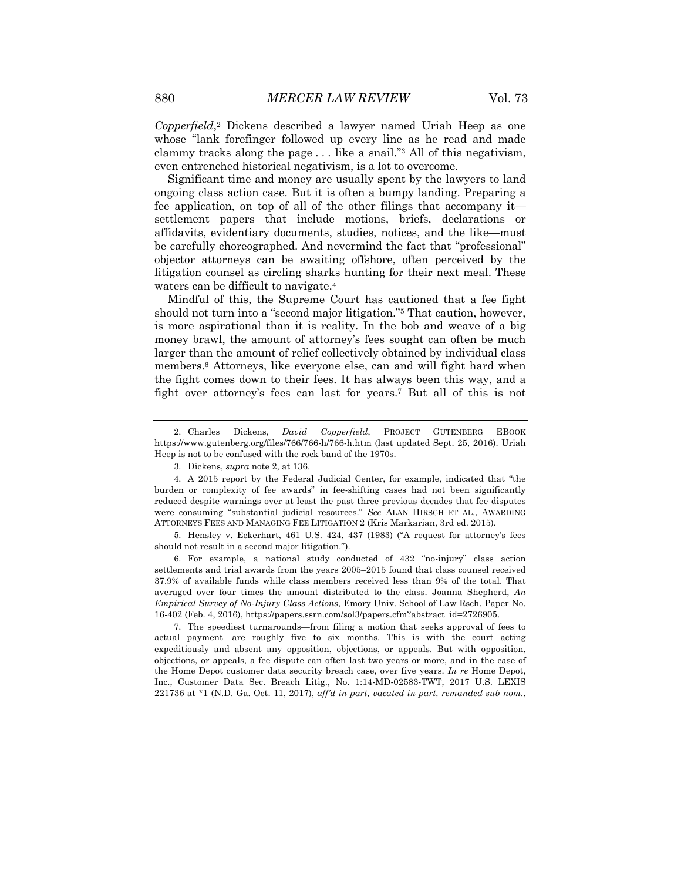*Copperfield*,2 Dickens described a lawyer named Uriah Heep as one whose "lank forefinger followed up every line as he read and made clammy tracks along the page . . . like a snail."3 All of this negativism, even entrenched historical negativism, is a lot to overcome.

Significant time and money are usually spent by the lawyers to land ongoing class action case. But it is often a bumpy landing. Preparing a fee application, on top of all of the other filings that accompany it settlement papers that include motions, briefs, declarations or affidavits, evidentiary documents, studies, notices, and the like—must be carefully choreographed. And nevermind the fact that "professional" objector attorneys can be awaiting offshore, often perceived by the litigation counsel as circling sharks hunting for their next meal. These waters can be difficult to navigate.4

Mindful of this, the Supreme Court has cautioned that a fee fight should not turn into a "second major litigation."5 That caution, however, is more aspirational than it is reality. In the bob and weave of a big money brawl, the amount of attorney's fees sought can often be much larger than the amount of relief collectively obtained by individual class members.6 Attorneys, like everyone else, can and will fight hard when the fight comes down to their fees. It has always been this way, and a fight over attorney's fees can last for years.7 But all of this is not

6. For example, a national study conducted of 432 "no-injury" class action settlements and trial awards from the years 2005–2015 found that class counsel received 37.9% of available funds while class members received less than 9% of the total. That averaged over four times the amount distributed to the class. Joanna Shepherd, *An Empirical Survey of No-Injury Class Actions*, Emory Univ. School of Law Rsch. Paper No. 16-402 (Feb. 4, 2016), https://papers.ssrn.com/sol3/papers.cfm?abstract\_id=2726905.

7. The speediest turnarounds—from filing a motion that seeks approval of fees to actual payment—are roughly five to six months. This is with the court acting expeditiously and absent any opposition, objections, or appeals. But with opposition, objections, or appeals, a fee dispute can often last two years or more, and in the case of the Home Depot customer data security breach case, over five years. *In re* Home Depot, Inc., Customer Data Sec. Breach Litig., No. 1:14-MD-02583-TWT, 2017 U.S. LEXIS 221736 at \*1 (N.D. Ga. Oct. 11, 2017), *aff'd in part, vacated in part, remanded sub nom.*,

<sup>2.</sup> Charles Dickens, *David Copperfield*, PROJECT GUTENBERG EBOOK https://www.gutenberg.org/files/766/766-h/766-h.htm (last updated Sept. 25, 2016). Uriah Heep is not to be confused with the rock band of the 1970s.

<sup>3.</sup> Dickens, *supra* note 2, at 136.

<sup>4.</sup> A 2015 report by the Federal Judicial Center, for example, indicated that "the burden or complexity of fee awards" in fee-shifting cases had not been significantly reduced despite warnings over at least the past three previous decades that fee disputes were consuming "substantial judicial resources." *See* ALAN HIRSCH ET AL., AWARDING ATTORNEYS FEES AND MANAGING FEE LITIGATION 2 (Kris Markarian, 3rd ed. 2015).

<sup>5.</sup> Hensley v. Eckerhart, 461 U.S. 424, 437 (1983) ("A request for attorney's fees should not result in a second major litigation.").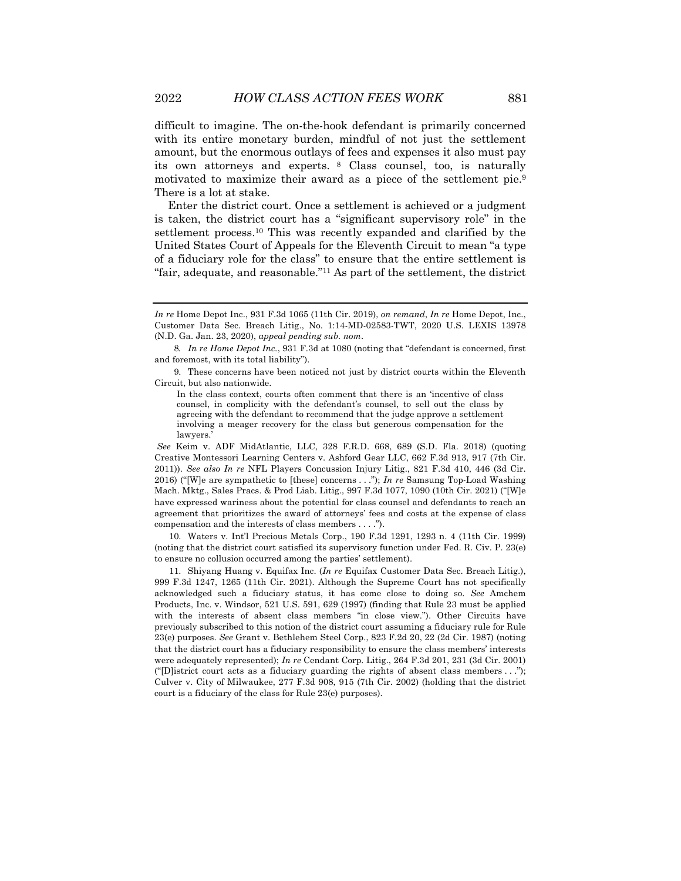difficult to imagine. The on-the-hook defendant is primarily concerned with its entire monetary burden, mindful of not just the settlement amount, but the enormous outlays of fees and expenses it also must pay its own attorneys and experts. <sup>8</sup> Class counsel, too, is naturally motivated to maximize their award as a piece of the settlement pie.9 There is a lot at stake.

Enter the district court. Once a settlement is achieved or a judgment is taken, the district court has a "significant supervisory role" in the settlement process.10 This was recently expanded and clarified by the United States Court of Appeals for the Eleventh Circuit to mean "a type of a fiduciary role for the class" to ensure that the entire settlement is "fair, adequate, and reasonable."11 As part of the settlement, the district

9. These concerns have been noticed not just by district courts within the Eleventh Circuit, but also nationwide.

*See* Keim v. ADF MidAtlantic, LLC, 328 F.R.D. 668, 689 (S.D. Fla. 2018) (quoting Creative Montessori Learning Centers v. Ashford Gear LLC, 662 F.3d 913, 917 (7th Cir. 2011)). *See also In re* NFL Players Concussion Injury Litig., 821 F.3d 410, 446 (3d Cir. 2016) ("[W]e are sympathetic to [these] concerns . . ."); *In re* Samsung Top-Load Washing Mach. Mktg., Sales Pracs. & Prod Liab. Litig., 997 F.3d 1077, 1090 (10th Cir. 2021) ("[W]e have expressed wariness about the potential for class counsel and defendants to reach an agreement that prioritizes the award of attorneys' fees and costs at the expense of class compensation and the interests of class members . . . .").

10. Waters v. Int'l Precious Metals Corp., 190 F.3d 1291, 1293 n. 4 (11th Cir. 1999) (noting that the district court satisfied its supervisory function under Fed. R. Civ. P. 23(e) to ensure no collusion occurred among the parties' settlement).

11. Shiyang Huang v. Equifax Inc. (*In re* Equifax Customer Data Sec. Breach Litig.), 999 F.3d 1247, 1265 (11th Cir. 2021). Although the Supreme Court has not specifically acknowledged such a fiduciary status, it has come close to doing so. *See* Amchem Products, Inc. v. Windsor, 521 U.S. 591, 629 (1997) (finding that Rule 23 must be applied with the interests of absent class members "in close view."). Other Circuits have previously subscribed to this notion of the district court assuming a fiduciary rule for Rule 23(e) purposes. *See* Grant v. Bethlehem Steel Corp., 823 F.2d 20, 22 (2d Cir. 1987) (noting that the district court has a fiduciary responsibility to ensure the class members' interests were adequately represented); *In re* Cendant Corp. Litig., 264 F.3d 201, 231 (3d Cir. 2001) ("[D]istrict court acts as a fiduciary guarding the rights of absent class members  $\dots$ "); Culver v. City of Milwaukee, 277 F.3d 908, 915 (7th Cir. 2002) (holding that the district court is a fiduciary of the class for Rule 23(e) purposes).

*In re* Home Depot Inc., 931 F.3d 1065 (11th Cir. 2019), *on remand*, *In re* Home Depot, Inc., Customer Data Sec. Breach Litig., No. 1:14-MD-02583-TWT, 2020 U.S. LEXIS 13978 (N.D. Ga. Jan. 23, 2020), *appeal pending sub. nom*.

<sup>8</sup>*. In re Home Depot Inc.*, 931 F.3d at 1080 (noting that "defendant is concerned, first and foremost, with its total liability").

In the class context, courts often comment that there is an 'incentive of class counsel, in complicity with the defendant's counsel, to sell out the class by agreeing with the defendant to recommend that the judge approve a settlement involving a meager recovery for the class but generous compensation for the lawyers.'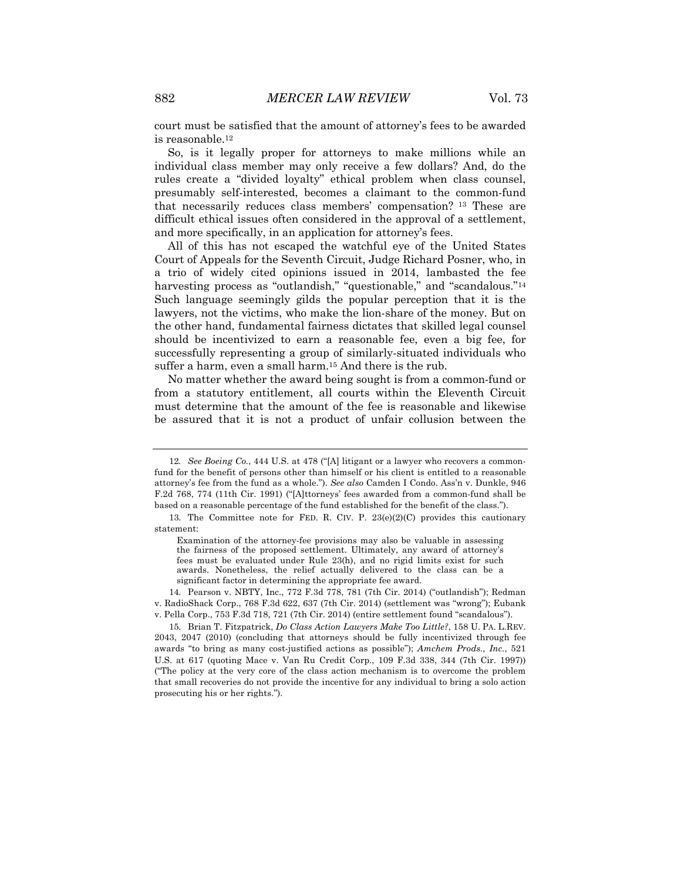court must be satisfied that the amount of attorney's fees to be awarded is reasonable.12

So, is it legally proper for attorneys to make millions while an individual class member may only receive a few dollars? And, do the rules create a "divided loyalty" ethical problem when class counsel, presumably self-interested, becomes a claimant to the common-fund that necessarily reduces class members' compensation? <sup>13</sup> These are difficult ethical issues often considered in the approval of a settlement, and more specifically, in an application for attorney's fees.

All of this has not escaped the watchful eye of the United States Court of Appeals for the Seventh Circuit, Judge Richard Posner, who, in a trio of widely cited opinions issued in 2014, lambasted the fee harvesting process as "outlandish," "questionable," and "scandalous."<sup>14</sup> Such language seemingly gilds the popular perception that it is the lawyers, not the victims, who make the lion-share of the money. But on the other hand, fundamental fairness dictates that skilled legal counsel should be incentivized to earn a reasonable fee, even a big fee, for successfully representing a group of similarly-situated individuals who suffer a harm, even a small harm.<sup>15</sup> And there is the rub.

No matter whether the award being sought is from a common-fund or from a statutory entitlement, all courts within the Eleventh Circuit must determine that the amount of the fee is reasonable and likewise be assured that it is not a product of unfair collusion between the

14. Pearson v. NBTY, Inc., 772 F.3d 778, 781 (7th Cir. 2014) ("outlandish"); Redman v. RadioShack Corp., 768 F.3d 622, 637 (7th Cir. 2014) (settlement was "wrong"); Eubank v. Pella Corp., 753 F.3d 718, 721 (7th Cir. 2014) (entire settlement found "scandalous").

15. Brian T. Fitzpatrick, *Do Class Action Lawyers Make Too Little?*, 158 U. PA. L.REV. 2043, 2047 (2010) (concluding that attorneys should be fully incentivized through fee awards "to bring as many cost-justified actions as possible"); *Amchem Prods.*, *Inc.*, 521 U.S. at 617 (quoting Mace v. Van Ru Credit Corp., 109 F.3d 338, 344 (7th Cir. 1997)) ("The policy at the very core of the class action mechanism is to overcome the problem that small recoveries do not provide the incentive for any individual to bring a solo action prosecuting his or her rights.").

<sup>12</sup>*. See Boeing Co.*, 444 U.S. at 478 ("[A] litigant or a lawyer who recovers a commonfund for the benefit of persons other than himself or his client is entitled to a reasonable attorney's fee from the fund as a whole."). *See also* Camden I Condo. Ass'n v. Dunkle, 946 F.2d 768, 774 (11th Cir. 1991) ("[A]ttorneys' fees awarded from a common-fund shall be based on a reasonable percentage of the fund established for the benefit of the class.").

<sup>13.</sup> The Committee note for FED. R. CIV. P.  $23(e)(2)(C)$  provides this cautionary statement:

Examination of the attorney-fee provisions may also be valuable in assessing the fairness of the proposed settlement. Ultimately, any award of attorney's fees must be evaluated under Rule 23(h), and no rigid limits exist for such awards. Nonetheless, the relief actually delivered to the class can be a significant factor in determining the appropriate fee award.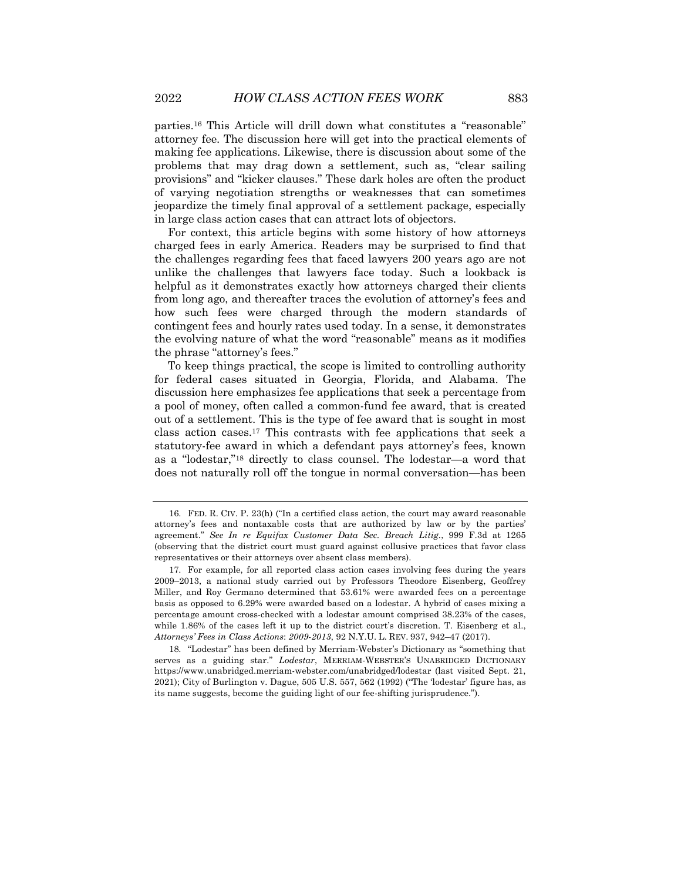parties.16 This Article will drill down what constitutes a "reasonable" attorney fee. The discussion here will get into the practical elements of making fee applications. Likewise, there is discussion about some of the problems that may drag down a settlement, such as, "clear sailing provisions" and "kicker clauses." These dark holes are often the product of varying negotiation strengths or weaknesses that can sometimes jeopardize the timely final approval of a settlement package, especially in large class action cases that can attract lots of objectors.

For context, this article begins with some history of how attorneys charged fees in early America. Readers may be surprised to find that the challenges regarding fees that faced lawyers 200 years ago are not unlike the challenges that lawyers face today. Such a lookback is helpful as it demonstrates exactly how attorneys charged their clients from long ago, and thereafter traces the evolution of attorney's fees and how such fees were charged through the modern standards of contingent fees and hourly rates used today. In a sense, it demonstrates the evolving nature of what the word "reasonable" means as it modifies the phrase "attorney's fees."

To keep things practical, the scope is limited to controlling authority for federal cases situated in Georgia, Florida, and Alabama. The discussion here emphasizes fee applications that seek a percentage from a pool of money, often called a common-fund fee award, that is created out of a settlement. This is the type of fee award that is sought in most class action cases.17 This contrasts with fee applications that seek a statutory-fee award in which a defendant pays attorney's fees, known as a "lodestar,"18 directly to class counsel. The lodestar—a word that does not naturally roll off the tongue in normal conversation—has been

<sup>16.</sup> FED. R. CIV. P. 23(h) ("In a certified class action, the court may award reasonable attorney's fees and nontaxable costs that are authorized by law or by the parties' agreement." *See In re Equifax Customer Data Sec. Breach Litig.*, 999 F.3d at 1265 (observing that the district court must guard against collusive practices that favor class representatives or their attorneys over absent class members).

<sup>17.</sup> For example, for all reported class action cases involving fees during the years 2009–2013, a national study carried out by Professors Theodore Eisenberg, Geoffrey Miller, and Roy Germano determined that 53.61% were awarded fees on a percentage basis as opposed to 6.29% were awarded based on a lodestar. A hybrid of cases mixing a percentage amount cross-checked with a lodestar amount comprised 38.23% of the cases, while 1.86% of the cases left it up to the district court's discretion. T. Eisenberg et al., *Attorneys' Fees in Class Actions*: *2009-2013*, 92 N.Y.U. L. REV. 937, 942–47 (2017).

<sup>18.</sup> "Lodestar" has been defined by Merriam-Webster's Dictionary as "something that serves as a guiding star." *Lodestar*, MERRIAM-WEBSTER'S UNABRIDGED DICTIONARY https://www.unabridged.merriam-webster.com/unabridged/lodestar (last visited Sept. 21, 2021); City of Burlington v. Dague, 505 U.S. 557, 562 (1992) ("The 'lodestar' figure has, as its name suggests, become the guiding light of our fee-shifting jurisprudence.").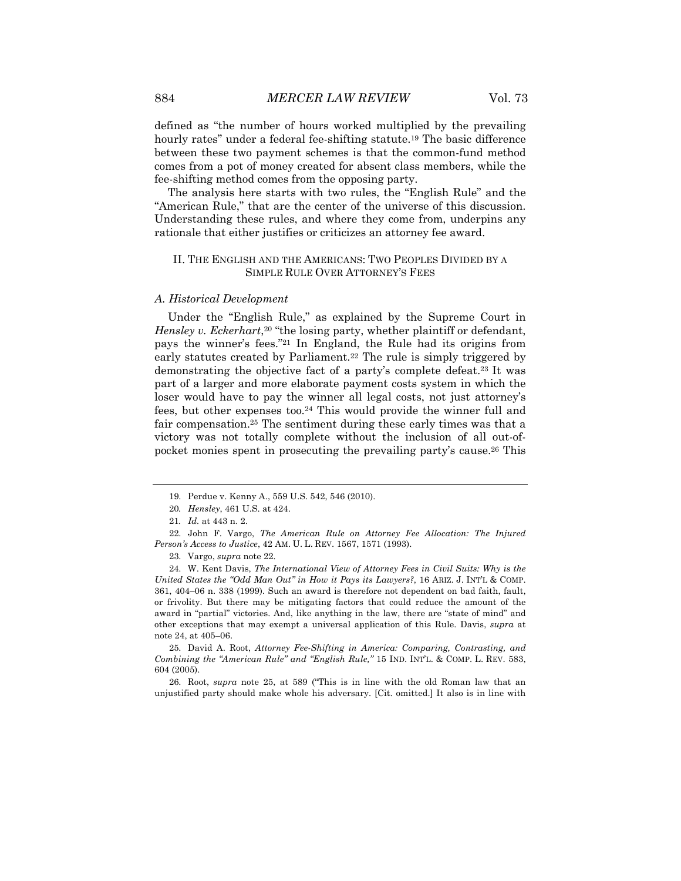defined as "the number of hours worked multiplied by the prevailing hourly rates" under a federal fee-shifting statute.<sup>19</sup> The basic difference between these two payment schemes is that the common-fund method comes from a pot of money created for absent class members, while the fee-shifting method comes from the opposing party.

The analysis here starts with two rules, the "English Rule" and the "American Rule," that are the center of the universe of this discussion. Understanding these rules, and where they come from, underpins any rationale that either justifies or criticizes an attorney fee award.

#### II. THE ENGLISH AND THE AMERICANS: TWO PEOPLES DIVIDED BY A SIMPLE RULE OVER ATTORNEY'S FEES

#### *A. Historical Development*

Under the "English Rule," as explained by the Supreme Court in *Hensley v. Eckerhart*,<sup>20</sup> "the losing party, whether plaintiff or defendant, pays the winner's fees."21 In England, the Rule had its origins from early statutes created by Parliament.<sup>22</sup> The rule is simply triggered by demonstrating the objective fact of a party's complete defeat.23 It was part of a larger and more elaborate payment costs system in which the loser would have to pay the winner all legal costs, not just attorney's fees, but other expenses too.24 This would provide the winner full and fair compensation.25 The sentiment during these early times was that a victory was not totally complete without the inclusion of all out-ofpocket monies spent in prosecuting the prevailing party's cause.26 This

25. David A. Root, *Attorney Fee-Shifting in America: Comparing, Contrasting, and Combining the "American Rule" and "English Rule,"* 15 IND. INT'L. & COMP. L. REV. 583, 604 (2005).

26. Root, *supra* note 25, at 589 ("This is in line with the old Roman law that an unjustified party should make whole his adversary. [Cit. omitted.] It also is in line with

<sup>19.</sup> Perdue v. Kenny A., 559 U.S. 542, 546 (2010).

<sup>20</sup>*. Hensley*, 461 U.S. at 424.

<sup>21</sup>*. Id.* at 443 n. 2.

<sup>22.</sup> John F. Vargo, *The American Rule on Attorney Fee Allocation: The Injured Person's Access to Justice*, 42 AM. U. L. REV. 1567, 1571 (1993).

<sup>23.</sup> Vargo, *supra* note 22*.*

<sup>24.</sup> W. Kent Davis, *The International View of Attorney Fees in Civil Suits: Why is the United States the "Odd Man Out" in How it Pays its Lawyers?*, 16 ARIZ. J. INT'L & COMP. 361, 404–06 n. 338 (1999). Such an award is therefore not dependent on bad faith, fault, or frivolity. But there may be mitigating factors that could reduce the amount of the award in "partial" victories. And, like anything in the law, there are "state of mind" and other exceptions that may exempt a universal application of this Rule. Davis, *supra* at note 24, at 405–06.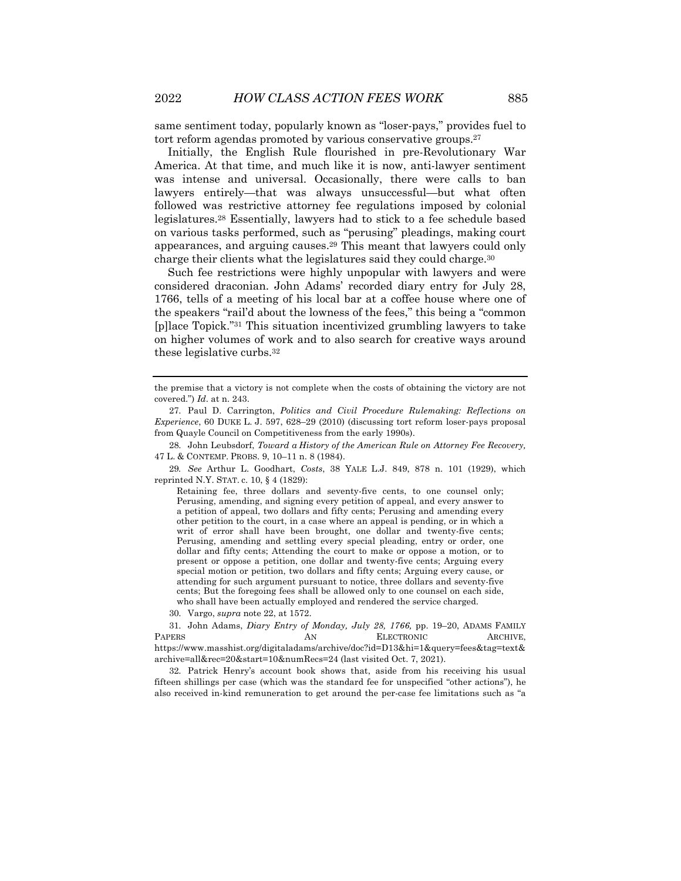same sentiment today, popularly known as "loser-pays," provides fuel to tort reform agendas promoted by various conservative groups.<sup>27</sup>

Initially, the English Rule flourished in pre-Revolutionary War America. At that time, and much like it is now, anti-lawyer sentiment was intense and universal. Occasionally, there were calls to ban lawyers entirely—that was always unsuccessful—but what often followed was restrictive attorney fee regulations imposed by colonial legislatures.28 Essentially, lawyers had to stick to a fee schedule based on various tasks performed, such as "perusing" pleadings, making court appearances, and arguing causes.29 This meant that lawyers could only charge their clients what the legislatures said they could charge.30

Such fee restrictions were highly unpopular with lawyers and were considered draconian. John Adams' recorded diary entry for July 28, 1766, tells of a meeting of his local bar at a coffee house where one of the speakers "rail'd about the lowness of the fees," this being a "common [p]lace Topick."31 This situation incentivized grumbling lawyers to take on higher volumes of work and to also search for creative ways around these legislative curbs.32

29*. See* Arthur L. Goodhart, *Costs*, 38 YALE L.J. 849, 878 n. 101 (1929), which reprinted N.Y. STAT. c. 10, § 4 (1829):

Retaining fee, three dollars and seventy-five cents, to one counsel only; Perusing, amending, and signing every petition of appeal, and every answer to a petition of appeal, two dollars and fifty cents; Perusing and amending every other petition to the court, in a case where an appeal is pending, or in which a writ of error shall have been brought, one dollar and twenty-five cents; Perusing, amending and settling every special pleading, entry or order, one dollar and fifty cents; Attending the court to make or oppose a motion, or to present or oppose a petition, one dollar and twenty-five cents; Arguing every special motion or petition, two dollars and fifty cents; Arguing every cause, or attending for such argument pursuant to notice, three dollars and seventy-five cents; But the foregoing fees shall be allowed only to one counsel on each side, who shall have been actually employed and rendered the service charged.

30. Vargo, *supra* note 22, at 1572.

31. John Adams, *Diary Entry of Monday, July 28, 1766,* pp. 19–20, ADAMS FAMILY PAPERS AN ELECTRONIC ARCHIVE, https://www.masshist.org/digitaladams/archive/doc?id=D13&hi=1&query=fees&tag=text& archive=all&rec=20&start=10&numRecs=24 (last visited Oct. 7, 2021).

32. Patrick Henry's account book shows that, aside from his receiving his usual fifteen shillings per case (which was the standard fee for unspecified "other actions"), he also received in-kind remuneration to get around the per-case fee limitations such as "a

the premise that a victory is not complete when the costs of obtaining the victory are not covered.") *Id*. at n. 243.

<sup>27.</sup> Paul D. Carrington, *Politics and Civil Procedure Rulemaking: Reflections on Experience*, 60 DUKE L. J. 597, 628–29 (2010) (discussing tort reform loser-pays proposal from Quayle Council on Competitiveness from the early 1990s).

<sup>28.</sup> John Leubsdorf, *Toward a History of the American Rule on Attorney Fee Recovery,* 47 L. & CONTEMP. PROBS. 9, 10–11 n. 8 (1984).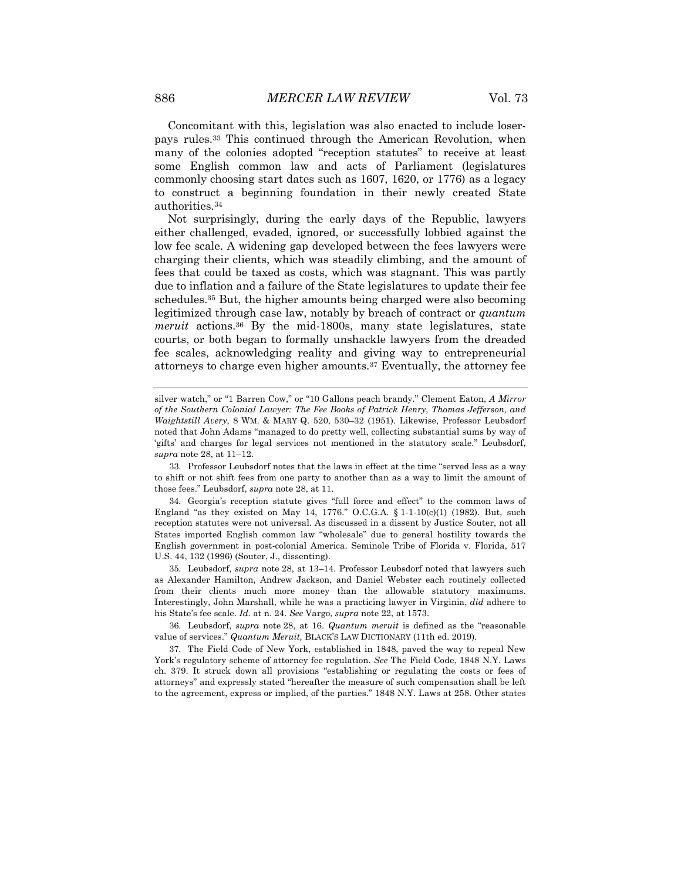Concomitant with this, legislation was also enacted to include loserpays rules.33 This continued through the American Revolution, when many of the colonies adopted "reception statutes" to receive at least some English common law and acts of Parliament (legislatures commonly choosing start dates such as 1607, 1620, or 1776) as a legacy to construct a beginning foundation in their newly created State authorities.34

Not surprisingly, during the early days of the Republic, lawyers either challenged, evaded, ignored, or successfully lobbied against the low fee scale. A widening gap developed between the fees lawyers were charging their clients, which was steadily climbing, and the amount of fees that could be taxed as costs, which was stagnant. This was partly due to inflation and a failure of the State legislatures to update their fee schedules.35 But, the higher amounts being charged were also becoming legitimized through case law, notably by breach of contract or *quantum meruit* actions.36 By the mid-1800s, many state legislatures, state courts, or both began to formally unshackle lawyers from the dreaded fee scales, acknowledging reality and giving way to entrepreneurial attorneys to charge even higher amounts.37 Eventually, the attorney fee

silver watch," or "1 Barren Cow," or "10 Gallons peach brandy." Clement Eaton, *A Mirror of the Southern Colonial Lawyer: The Fee Books of Patrick Henry, Thomas Jefferson, and Waightstill Avery*, 8 WM. & MARY Q. 520, 530–32 (1951). Likewise, Professor Leubsdorf noted that John Adams "managed to do pretty well, collecting substantial sums by way of 'gifts' and charges for legal services not mentioned in the statutory scale." Leubsdorf, *supra* note 28, at 11–12.

<sup>33.</sup> Professor Leubsdorf notes that the laws in effect at the time "served less as a way to shift or not shift fees from one party to another than as a way to limit the amount of those fees." Leubsdorf, *supra* note 28, at 11.

<sup>34.</sup> Georgia's reception statute gives "full force and effect" to the common laws of England "as they existed on May 14, 1776." O.C.G.A.  $\S$  1-1-10(c)(1) (1982). But, such reception statutes were not universal. As discussed in a dissent by Justice Souter, not all States imported English common law "wholesale" due to general hostility towards the English government in post-colonial America. Seminole Tribe of Florida v. Florida, 517 U.S. 44, 132 (1996) (Souter, J., dissenting).

<sup>35.</sup> Leubsdorf, *supra* note 28, at 13–14. Professor Leubsdorf noted that lawyers such as Alexander Hamilton, Andrew Jackson, and Daniel Webster each routinely collected from their clients much more money than the allowable statutory maximums. Interestingly, John Marshall, while he was a practicing lawyer in Virginia, *did* adhere to his State's fee scale. *Id.* at n. 24. *See* Vargo, *supra* note 22, at 1573.

<sup>36.</sup> Leubsdorf, *supra* note 28, at 16. *Quantum meruit* is defined as the "reasonable value of services." *Quantum Meruit,* BLACK'S LAW DICTIONARY (11th ed. 2019).

<sup>37.</sup> The Field Code of New York, established in 1848, paved the way to repeal New York's regulatory scheme of attorney fee regulation. *See* The Field Code, 1848 N.Y. Laws ch. 379. It struck down all provisions "establishing or regulating the costs or fees of attorneys" and expressly stated "hereafter the measure of such compensation shall be left to the agreement, express or implied, of the parties." 1848 N.Y. Laws at 258. Other states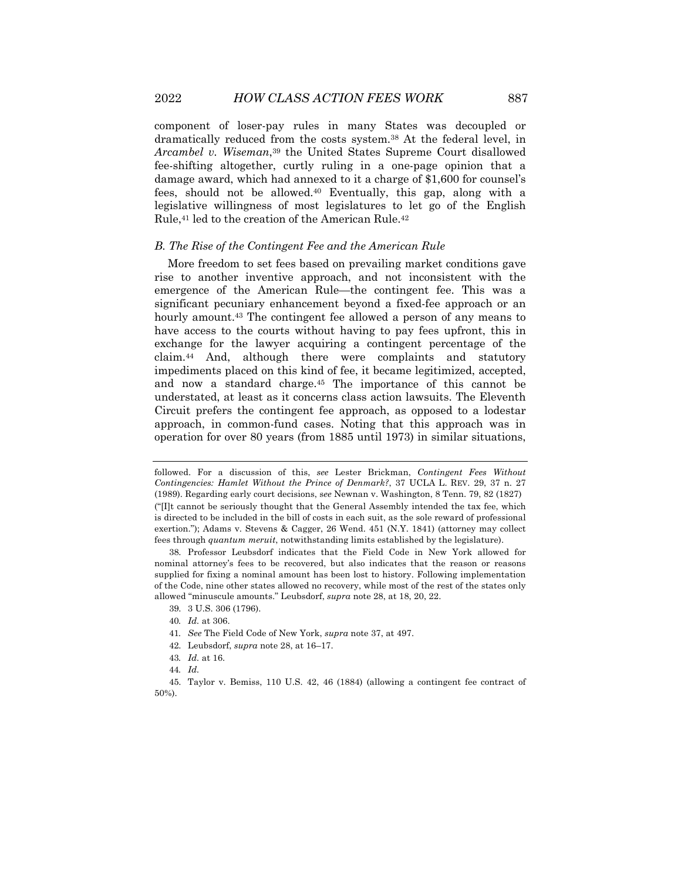component of loser-pay rules in many States was decoupled or dramatically reduced from the costs system.38 At the federal level, in *Arcambel v. Wiseman*,39 the United States Supreme Court disallowed fee-shifting altogether, curtly ruling in a one-page opinion that a damage award, which had annexed to it a charge of \$1,600 for counsel's fees, should not be allowed.40 Eventually, this gap, along with a legislative willingness of most legislatures to let go of the English Rule,41 led to the creation of the American Rule.42

#### *B. The Rise of the Contingent Fee and the American Rule*

More freedom to set fees based on prevailing market conditions gave rise to another inventive approach, and not inconsistent with the emergence of the American Rule—the contingent fee. This was a significant pecuniary enhancement beyond a fixed-fee approach or an hourly amount.43 The contingent fee allowed a person of any means to have access to the courts without having to pay fees upfront, this in exchange for the lawyer acquiring a contingent percentage of the claim.44 And, although there were complaints and statutory impediments placed on this kind of fee, it became legitimized, accepted, and now a standard charge.45 The importance of this cannot be understated, at least as it concerns class action lawsuits. The Eleventh Circuit prefers the contingent fee approach, as opposed to a lodestar approach, in common-fund cases. Noting that this approach was in operation for over 80 years (from 1885 until 1973) in similar situations,

followed. For a discussion of this, *see* Lester Brickman, *Contingent Fees Without Contingencies: Hamlet Without the Prince of Denmark?*, 37 UCLA L. REV. 29, 37 n. 27 (1989). Regarding early court decisions, s*ee* Newnan v. Washington, 8 Tenn. 79, 82 (1827) ("[I]t cannot be seriously thought that the General Assembly intended the tax fee, which is directed to be included in the bill of costs in each suit, as the sole reward of professional exertion."); Adams v. Stevens & Cagger, 26 Wend. 451 (N.Y. 1841) (attorney may collect fees through *quantum meruit*, notwithstanding limits established by the legislature).

<sup>38.</sup> Professor Leubsdorf indicates that the Field Code in New York allowed for nominal attorney's fees to be recovered, but also indicates that the reason or reasons supplied for fixing a nominal amount has been lost to history. Following implementation of the Code, nine other states allowed no recovery, while most of the rest of the states only allowed "minuscule amounts." Leubsdorf, *supra* note 28, at 18, 20, 22.

<sup>39.</sup> 3 U.S. 306 (1796).

<sup>40</sup>*. Id.* at 306.

<sup>41</sup>*. See* The Field Code of New York, *supra* note 37, at 497.

<sup>42.</sup> Leubsdorf, *supra* note 28, at 16–17.

<sup>43</sup>*. Id.* at 16.

<sup>44</sup>*. Id.*

<sup>45.</sup> Taylor v. Bemiss, 110 U.S. 42, 46 (1884) (allowing a contingent fee contract of 50%).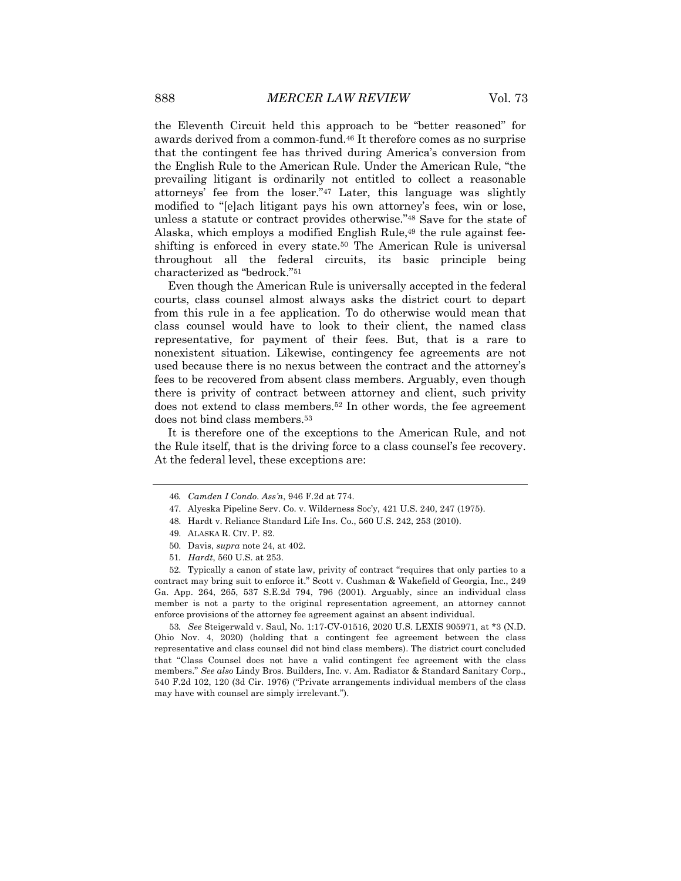the Eleventh Circuit held this approach to be "better reasoned" for awards derived from a common-fund.46 It therefore comes as no surprise that the contingent fee has thrived during America's conversion from the English Rule to the American Rule. Under the American Rule, "the prevailing litigant is ordinarily not entitled to collect a reasonable attorneys' fee from the loser."47 Later, this language was slightly modified to "[e]ach litigant pays his own attorney's fees, win or lose, unless a statute or contract provides otherwise."48 Save for the state of Alaska, which employs a modified English Rule,49 the rule against feeshifting is enforced in every state.50 The American Rule is universal throughout all the federal circuits, its basic principle being characterized as "bedrock."51

Even though the American Rule is universally accepted in the federal courts, class counsel almost always asks the district court to depart from this rule in a fee application. To do otherwise would mean that class counsel would have to look to their client, the named class representative, for payment of their fees. But, that is a rare to nonexistent situation. Likewise, contingency fee agreements are not used because there is no nexus between the contract and the attorney's fees to be recovered from absent class members. Arguably, even though there is privity of contract between attorney and client, such privity does not extend to class members.52 In other words, the fee agreement does not bind class members.53

It is therefore one of the exceptions to the American Rule, and not the Rule itself, that is the driving force to a class counsel's fee recovery. At the federal level, these exceptions are:

53*. See* Steigerwald v. Saul, No. 1:17-CV-01516, 2020 U.S. LEXIS 905971, at \*3 (N.D. Ohio Nov. 4, 2020) (holding that a contingent fee agreement between the class representative and class counsel did not bind class members). The district court concluded that "Class Counsel does not have a valid contingent fee agreement with the class members." *See also* Lindy Bros. Builders, Inc. v. Am. Radiator & Standard Sanitary Corp., 540 F.2d 102, 120 (3d Cir. 1976) ("Private arrangements individual members of the class may have with counsel are simply irrelevant.").

<sup>46</sup>*. Camden I Condo. Ass'n*, 946 F.2d at 774.

<sup>47.</sup> Alyeska Pipeline Serv. Co. v. Wilderness Soc'y, 421 U.S. 240, 247 (1975).

<sup>48.</sup> Hardt v. Reliance Standard Life Ins. Co., 560 U.S. 242, 253 (2010).

<sup>49.</sup> ALASKA R. CIV. P. 82.

<sup>50.</sup> Davis, *supra* note 24, at 402.

<sup>51</sup>*. Hardt*, 560 U.S. at 253.

<sup>52.</sup> Typically a canon of state law, privity of contract "requires that only parties to a contract may bring suit to enforce it." Scott v. Cushman & Wakefield of Georgia, Inc., 249 Ga. App. 264, 265, 537 S.E.2d 794, 796 (2001). Arguably, since an individual class member is not a party to the original representation agreement, an attorney cannot enforce provisions of the attorney fee agreement against an absent individual.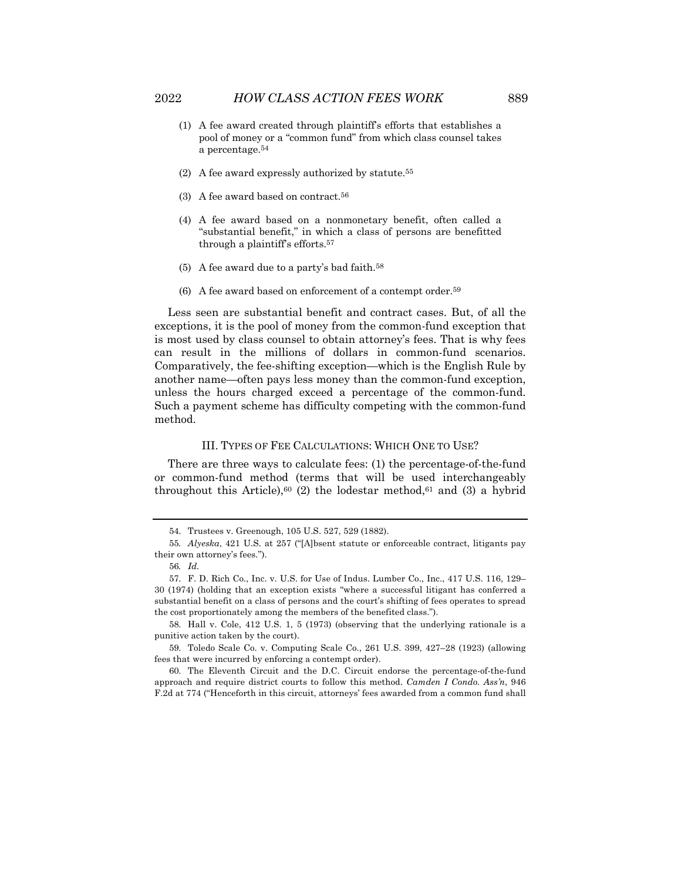- (1) A fee award created through plaintiff's efforts that establishes a pool of money or a "common fund" from which class counsel takes a percentage.54
- (2) A fee award expressly authorized by statute.55
- (3) A fee award based on contract.56
- (4) A fee award based on a nonmonetary benefit, often called a "substantial benefit," in which a class of persons are benefitted through a plaintiff's efforts.57
- $(5)$  A fee award due to a party's bad faith.<sup>58</sup>
- (6) A fee award based on enforcement of a contempt order.<sup>59</sup>

Less seen are substantial benefit and contract cases. But, of all the exceptions, it is the pool of money from the common-fund exception that is most used by class counsel to obtain attorney's fees. That is why fees can result in the millions of dollars in common-fund scenarios. Comparatively, the fee-shifting exception—which is the English Rule by another name—often pays less money than the common-fund exception, unless the hours charged exceed a percentage of the common-fund. Such a payment scheme has difficulty competing with the common-fund method.

#### III. TYPES OF FEE CALCULATIONS: WHICH ONE TO USE?

There are three ways to calculate fees: (1) the percentage-of-the-fund or common-fund method (terms that will be used interchangeably throughout this Article),<sup>60</sup> (2) the lodestar method,<sup>61</sup> and (3) a hybrid

<sup>54.</sup> Trustees v. Greenough, 105 U.S. 527, 529 (1882).

<sup>55</sup>*. Alyeska*, 421 U.S. at 257 ("[A]bsent statute or enforceable contract, litigants pay their own attorney's fees.").

<sup>56</sup>*. Id.*

<sup>57.</sup> F. D. Rich Co., Inc. v. U.S. for Use of Indus. Lumber Co., Inc., 417 U.S. 116, 129– 30 (1974) (holding that an exception exists "where a successful litigant has conferred a substantial benefit on a class of persons and the court's shifting of fees operates to spread the cost proportionately among the members of the benefited class.").

<sup>58.</sup> Hall v. Cole, 412 U.S. 1, 5 (1973) (observing that the underlying rationale is a punitive action taken by the court).

<sup>59.</sup> Toledo Scale Co. v. Computing Scale Co., 261 U.S. 399, 427–28 (1923) (allowing fees that were incurred by enforcing a contempt order).

<sup>60.</sup> The Eleventh Circuit and the D.C. Circuit endorse the percentage-of-the-fund approach and require district courts to follow this method. *Camden I Condo. Ass'n*, 946 F.2d at 774 ("Henceforth in this circuit, attorneys' fees awarded from a common fund shall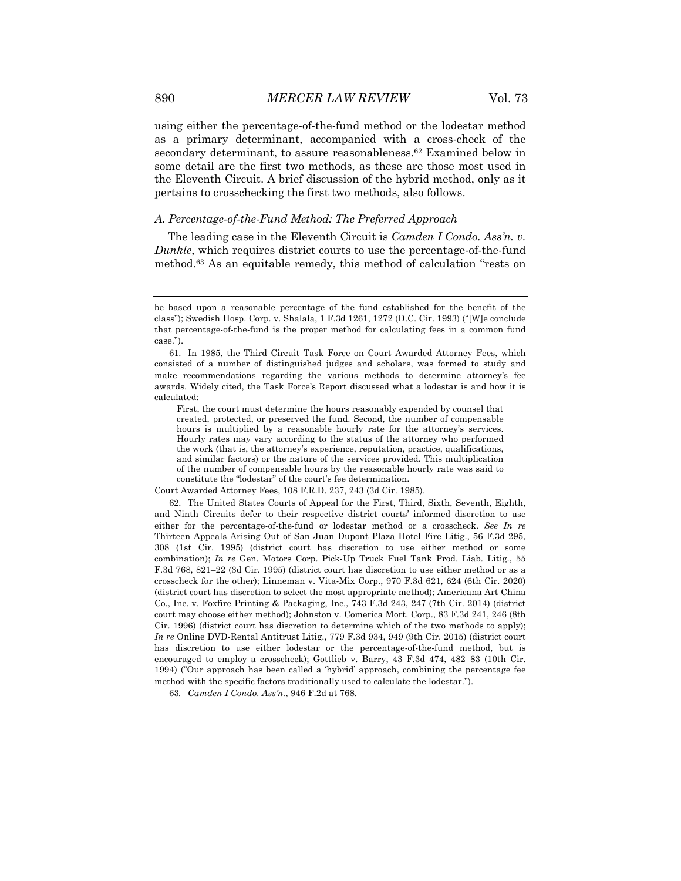using either the percentage-of-the-fund method or the lodestar method as a primary determinant, accompanied with a cross-check of the secondary determinant, to assure reasonableness.<sup>62</sup> Examined below in some detail are the first two methods, as these are those most used in the Eleventh Circuit. A brief discussion of the hybrid method, only as it pertains to crosschecking the first two methods, also follows.

#### *A. Percentage-of-the-Fund Method: The Preferred Approach*

The leading case in the Eleventh Circuit is *Camden I Condo. Ass'n. v. Dunkle*, which requires district courts to use the percentage-of-the-fund method.63 As an equitable remedy, this method of calculation "rests on

First, the court must determine the hours reasonably expended by counsel that created, protected, or preserved the fund. Second, the number of compensable hours is multiplied by a reasonable hourly rate for the attorney's services. Hourly rates may vary according to the status of the attorney who performed the work (that is, the attorney's experience, reputation, practice, qualifications, and similar factors) or the nature of the services provided. This multiplication of the number of compensable hours by the reasonable hourly rate was said to constitute the "lodestar" of the court's fee determination.

62. The United States Courts of Appeal for the First, Third, Sixth, Seventh, Eighth, and Ninth Circuits defer to their respective district courts' informed discretion to use either for the percentage-of-the-fund or lodestar method or a crosscheck. *See In re* Thirteen Appeals Arising Out of San Juan Dupont Plaza Hotel Fire Litig., 56 F.3d 295, 308 (1st Cir. 1995) (district court has discretion to use either method or some combination); *In re* Gen. Motors Corp. Pick-Up Truck Fuel Tank Prod. Liab. Litig., 55 F.3d 768, 821–22 (3d Cir. 1995) (district court has discretion to use either method or as a crosscheck for the other); Linneman v. Vita-Mix Corp., 970 F.3d 621, 624 (6th Cir. 2020) (district court has discretion to select the most appropriate method); Americana Art China Co., Inc. v. Foxfire Printing & Packaging, Inc., 743 F.3d 243, 247 (7th Cir. 2014) (district court may choose either method); Johnston v. Comerica Mort. Corp., 83 F.3d 241, 246 (8th Cir. 1996) (district court has discretion to determine which of the two methods to apply); *In re* Online DVD-Rental Antitrust Litig., 779 F.3d 934, 949 (9th Cir. 2015) (district court has discretion to use either lodestar or the percentage-of-the-fund method, but is encouraged to employ a crosscheck); Gottlieb v. Barry, 43 F.3d 474, 482–83 (10th Cir. 1994) ("Our approach has been called a 'hybrid' approach, combining the percentage fee method with the specific factors traditionally used to calculate the lodestar.").

63*. Camden I Condo. Ass'n.*, 946 F.2d at 768.

be based upon a reasonable percentage of the fund established for the benefit of the class"); Swedish Hosp. Corp. v. Shalala, 1 F.3d 1261, 1272 (D.C. Cir. 1993) ("[W]e conclude that percentage-of-the-fund is the proper method for calculating fees in a common fund case.").

<sup>61.</sup> In 1985, the Third Circuit Task Force on Court Awarded Attorney Fees, which consisted of a number of distinguished judges and scholars, was formed to study and make recommendations regarding the various methods to determine attorney's fee awards. Widely cited, the Task Force's Report discussed what a lodestar is and how it is calculated:

Court Awarded Attorney Fees, 108 F.R.D. 237, 243 (3d Cir. 1985).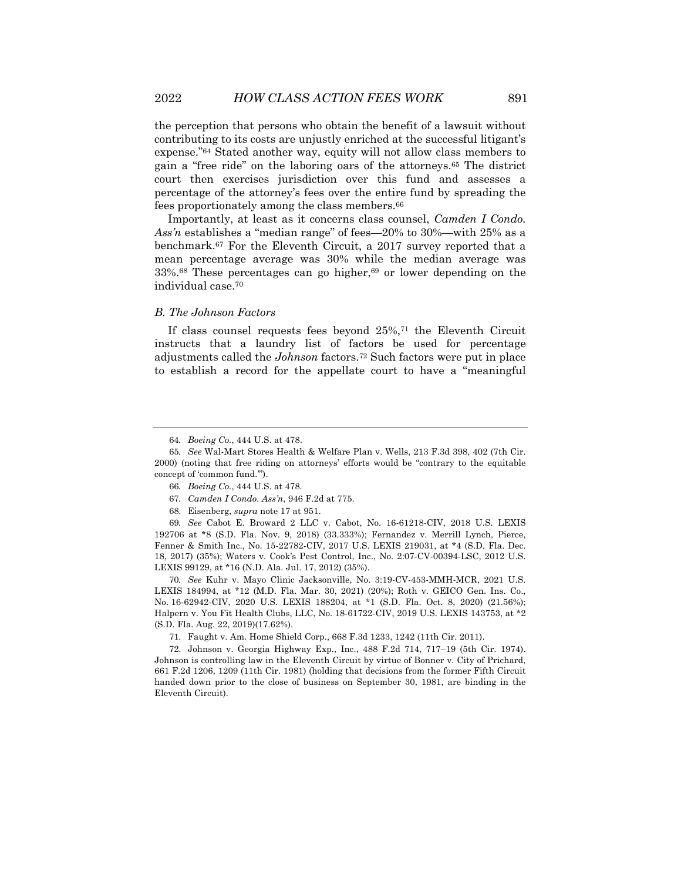the perception that persons who obtain the benefit of a lawsuit without contributing to its costs are unjustly enriched at the successful litigant's expense."64 Stated another way, equity will not allow class members to gain a "free ride" on the laboring oars of the attorneys.65 The district court then exercises jurisdiction over this fund and assesses a percentage of the attorney's fees over the entire fund by spreading the fees proportionately among the class members.66

Importantly, at least as it concerns class counsel, *Camden I Condo. Ass'n* establishes a "median range" of fees—20% to 30%—with 25% as a benchmark.67 For the Eleventh Circuit, a 2017 survey reported that a mean percentage average was 30% while the median average was 33%.68 These percentages can go higher,69 or lower depending on the individual case.70

#### *B. The Johnson Factors*

If class counsel requests fees beyond 25%,71 the Eleventh Circuit instructs that a laundry list of factors be used for percentage adjustments called the *Johnson* factors.72 Such factors were put in place to establish a record for the appellate court to have a "meaningful

70*. See* Kuhr v. Mayo Clinic Jacksonville, No. 3:19-CV-453-MMH-MCR, 2021 U.S. LEXIS 184994, at \*12 (M.D. Fla. Mar. 30, 2021) (20%); Roth v. GEICO Gen. Ins. Co., No. 16-62942-CIV, 2020 U.S. LEXIS 188204, at \*1 (S.D. Fla. Oct. 8, 2020) (21.56%); Halpern v. You Fit Health Clubs, LLC, No. 18-61722-CIV, 2019 U.S. LEXIS 143753, at \*2 (S.D. Fla. Aug. 22, 2019)(17.62%).

71. Faught v. Am. Home Shield Corp., 668 F.3d 1233, 1242 (11th Cir. 2011).

72. Johnson v. Georgia Highway Exp., Inc., 488 F.2d 714, 717–19 (5th Cir. 1974). Johnson is controlling law in the Eleventh Circuit by virtue of Bonner v. City of Prichard, 661 F.2d 1206, 1209 (11th Cir. 1981) (holding that decisions from the former Fifth Circuit handed down prior to the close of business on September 30, 1981, are binding in the Eleventh Circuit).

<sup>64</sup>*. Boeing Co.*, 444 U.S. at 478.

<sup>65</sup>*. See* Wal-Mart Stores Health & Welfare Plan v. Wells, 213 F.3d 398, 402 (7th Cir. 2000) (noting that free riding on attorneys' efforts would be "contrary to the equitable concept of 'common fund.'").

<sup>66</sup>*. Boeing Co.*, 444 U.S. at 478*.*

<sup>67</sup>*. Camden I Condo. Ass'n*, 946 F.2d at 775.

<sup>68.</sup> Eisenberg, *supra* note 17 at 951.

<sup>69</sup>*. See* Cabot E. Broward 2 LLC v. Cabot, No. 16-61218-CIV, 2018 U.S. LEXIS 192706 at \*8 (S.D. Fla. Nov. 9, 2018) (33.333%); Fernandez v. Merrill Lynch, Pierce, Fenner & Smith Inc., No. 15-22782-CIV, 2017 U.S. LEXIS 219031, at \*4 (S.D. Fla. Dec. 18, 2017) (35%); Waters v. Cook's Pest Control, Inc., No. 2:07-CV-00394-LSC, 2012 U.S. LEXIS 99129, at \*16 (N.D. Ala. Jul. 17, 2012) (35%).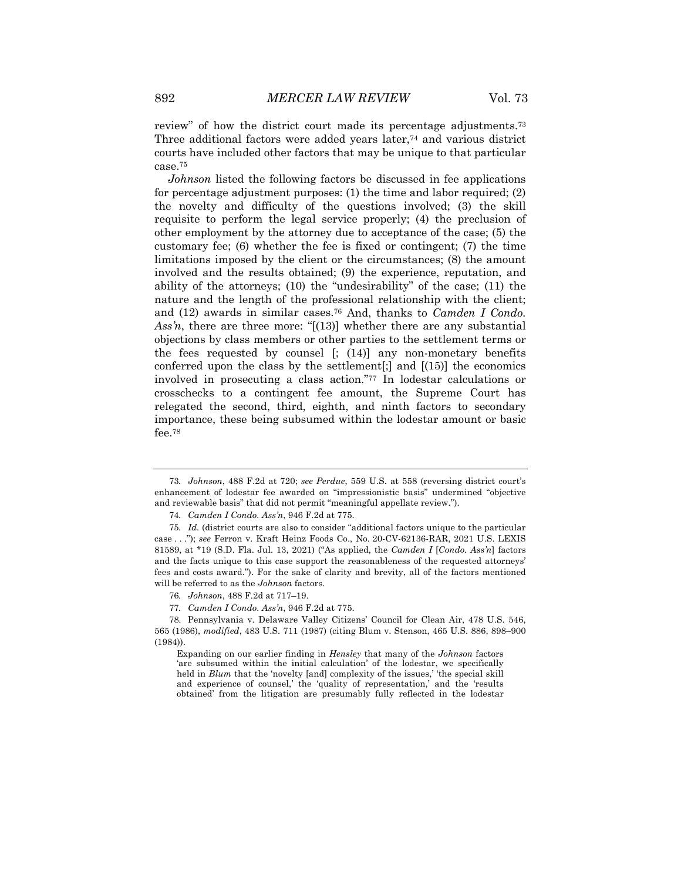review" of how the district court made its percentage adjustments.73 Three additional factors were added years later,<sup>74</sup> and various district courts have included other factors that may be unique to that particular case.75

*Johnson* listed the following factors be discussed in fee applications for percentage adjustment purposes: (1) the time and labor required; (2) the novelty and difficulty of the questions involved; (3) the skill requisite to perform the legal service properly; (4) the preclusion of other employment by the attorney due to acceptance of the case; (5) the customary fee; (6) whether the fee is fixed or contingent; (7) the time limitations imposed by the client or the circumstances; (8) the amount involved and the results obtained; (9) the experience, reputation, and ability of the attorneys; (10) the "undesirability" of the case; (11) the nature and the length of the professional relationship with the client; and (12) awards in similar cases.76 And, thanks to *Camden I Condo. Ass'n*, there are three more: "[(13)] whether there are any substantial objections by class members or other parties to the settlement terms or the fees requested by counsel [; (14)] any non-monetary benefits conferred upon the class by the settlement[;] and [(15)] the economics involved in prosecuting a class action."77 In lodestar calculations or crosschecks to a contingent fee amount, the Supreme Court has relegated the second, third, eighth, and ninth factors to secondary importance, these being subsumed within the lodestar amount or basic fee.78

<sup>73</sup>*. Johnson*, 488 F.2d at 720; *see Perdue*, 559 U.S. at 558 (reversing district court's enhancement of lodestar fee awarded on "impressionistic basis" undermined "objective and reviewable basis" that did not permit "meaningful appellate review.").

<sup>74</sup>*. Camden I Condo. Ass'n*, 946 F.2d at 775.

<sup>75</sup>*. Id.* (district courts are also to consider "additional factors unique to the particular case . . ."); *see* Ferron v. Kraft Heinz Foods Co., No. 20-CV-62136-RAR, 2021 U.S. LEXIS 81589, at \*19 (S.D. Fla. Jul. 13, 2021) ("As applied, the *Camden I* [*Condo. Ass'n*] factors and the facts unique to this case support the reasonableness of the requested attorneys' fees and costs award."). For the sake of clarity and brevity, all of the factors mentioned will be referred to as the *Johnson* factors.

<sup>76</sup>*. Johnson*, 488 F.2d at 717–19.

<sup>77</sup>*. Camden I Condo. Ass'n*, 946 F.2d at 775.

<sup>78.</sup> Pennsylvania v. Delaware Valley Citizens' Council for Clean Air, 478 U.S. 546, 565 (1986), *modified*, 483 U.S. 711 (1987) (citing Blum v. Stenson, 465 U.S. 886, 898–900 (1984)).

Expanding on our earlier finding in *Hensley* that many of the *Johnson* factors 'are subsumed within the initial calculation' of the lodestar, we specifically held in *Blum* that the 'novelty [and] complexity of the issues,' 'the special skill and experience of counsel,' the 'quality of representation,' and the 'results obtained' from the litigation are presumably fully reflected in the lodestar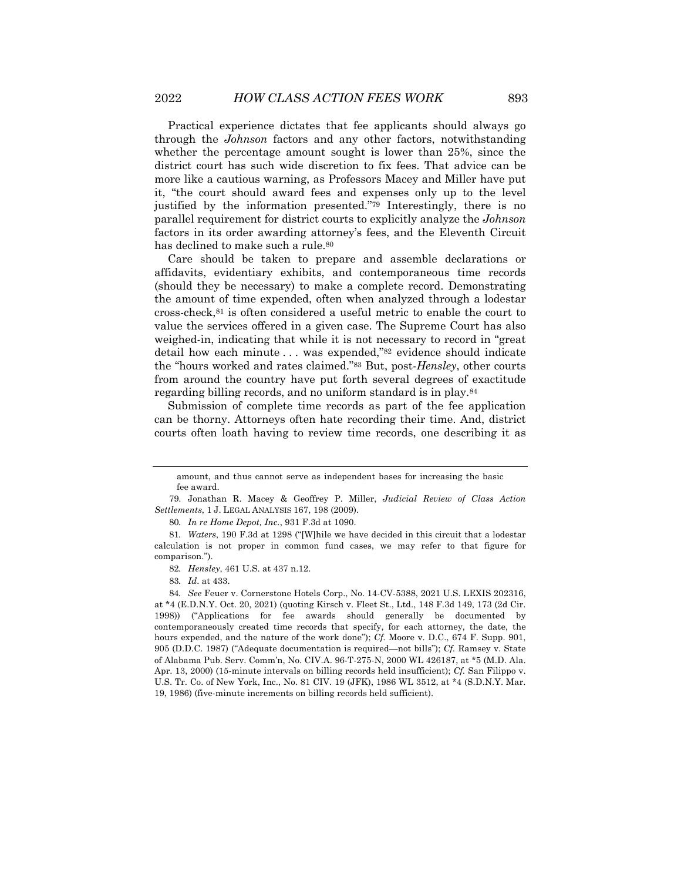Practical experience dictates that fee applicants should always go through the *Johnson* factors and any other factors, notwithstanding whether the percentage amount sought is lower than 25%, since the district court has such wide discretion to fix fees. That advice can be more like a cautious warning, as Professors Macey and Miller have put it, "the court should award fees and expenses only up to the level justified by the information presented."79 Interestingly, there is no parallel requirement for district courts to explicitly analyze the *Johnson* factors in its order awarding attorney's fees, and the Eleventh Circuit has declined to make such a rule.<sup>80</sup>

Care should be taken to prepare and assemble declarations or affidavits, evidentiary exhibits, and contemporaneous time records (should they be necessary) to make a complete record. Demonstrating the amount of time expended, often when analyzed through a lodestar cross-check,81 is often considered a useful metric to enable the court to value the services offered in a given case. The Supreme Court has also weighed-in, indicating that while it is not necessary to record in "great detail how each minute . . . was expended,"82 evidence should indicate the "hours worked and rates claimed."83 But, post-*Hensley*, other courts from around the country have put forth several degrees of exactitude regarding billing records, and no uniform standard is in play.84

Submission of complete time records as part of the fee application can be thorny. Attorneys often hate recording their time. And, district courts often loath having to review time records, one describing it as

amount, and thus cannot serve as independent bases for increasing the basic fee award.

<sup>79.</sup> Jonathan R. Macey & Geoffrey P. Miller, *Judicial Review of Class Action Settlements*, 1 J. LEGAL ANALYSIS 167, 198 (2009).

<sup>80</sup>*. In re Home Depot, Inc.*, 931 F.3d at 1090.

<sup>81</sup>*. Waters*, 190 F.3d at 1298 ("[W]hile we have decided in this circuit that a lodestar calculation is not proper in common fund cases, we may refer to that figure for comparison.").

<sup>82</sup>*. Hensley*, 461 U.S. at 437 n.12.

<sup>83</sup>*. Id*. at 433.

<sup>84</sup>*. See* Feuer v. Cornerstone Hotels Corp., No. 14-CV-5388, 2021 U.S. LEXIS 202316, at \*4 (E.D.N.Y. Oct. 20, 2021) (quoting Kirsch v. Fleet St., Ltd., 148 F.3d 149, 173 (2d Cir. 1998)) ("Applications for fee awards should generally be documented by contemporaneously created time records that specify, for each attorney, the date, the hours expended, and the nature of the work done"); *Cf.* Moore v. D.C., 674 F. Supp. 901, 905 (D.D.C. 1987) ("Adequate documentation is required—not bills"); *Cf.* Ramsey v. State of Alabama Pub. Serv. Comm'n, No. CIV.A. 96-T-275-N, 2000 WL 426187, at \*5 (M.D. Ala. Apr. 13, 2000) (15-minute intervals on billing records held insufficient); *Cf.* San Filippo v. U.S. Tr. Co. of New York, Inc., No. 81 CIV. 19 (JFK), 1986 WL 3512, at \*4 (S.D.N.Y. Mar. 19, 1986) (five-minute increments on billing records held sufficient).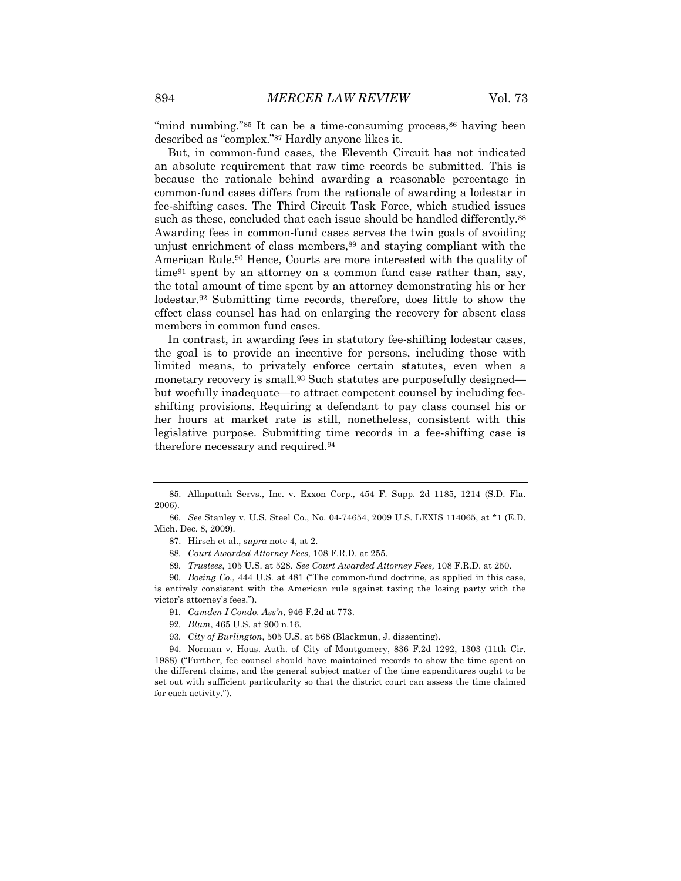"mind numbing."<sup>85</sup> It can be a time-consuming process,<sup>86</sup> having been described as "complex."87 Hardly anyone likes it.

But, in common-fund cases, the Eleventh Circuit has not indicated an absolute requirement that raw time records be submitted. This is because the rationale behind awarding a reasonable percentage in common-fund cases differs from the rationale of awarding a lodestar in fee-shifting cases. The Third Circuit Task Force, which studied issues such as these, concluded that each issue should be handled differently.<sup>88</sup> Awarding fees in common-fund cases serves the twin goals of avoiding unjust enrichment of class members, 89 and staying compliant with the American Rule.90 Hence, Courts are more interested with the quality of time91 spent by an attorney on a common fund case rather than, say, the total amount of time spent by an attorney demonstrating his or her lodestar.92 Submitting time records, therefore, does little to show the effect class counsel has had on enlarging the recovery for absent class members in common fund cases.

In contrast, in awarding fees in statutory fee-shifting lodestar cases, the goal is to provide an incentive for persons, including those with limited means, to privately enforce certain statutes, even when a monetary recovery is small.<sup>93</sup> Such statutes are purposefully designed but woefully inadequate—to attract competent counsel by including feeshifting provisions. Requiring a defendant to pay class counsel his or her hours at market rate is still, nonetheless, consistent with this legislative purpose. Submitting time records in a fee-shifting case is therefore necessary and required.94

90*. Boeing Co.*, 444 U.S. at 481 ("The common-fund doctrine, as applied in this case, is entirely consistent with the American rule against taxing the losing party with the victor's attorney's fees.").

94. Norman v. Hous. Auth. of City of Montgomery, 836 F.2d 1292, 1303 (11th Cir. 1988) ("Further, fee counsel should have maintained records to show the time spent on the different claims, and the general subject matter of the time expenditures ought to be set out with sufficient particularity so that the district court can assess the time claimed for each activity.").

<sup>85.</sup> Allapattah Servs., Inc. v. Exxon Corp., 454 F. Supp. 2d 1185, 1214 (S.D. Fla. 2006).

<sup>86</sup>*. See* Stanley v. U.S. Steel Co., No. 04-74654, 2009 U.S. LEXIS 114065, at \*1 (E.D. Mich. Dec. 8, 2009).

<sup>87.</sup> Hirsch et al., *supra* note 4, at 2.

<sup>88</sup>*. Court Awarded Attorney Fees,* 108 F.R.D. at 255.

<sup>89</sup>*. Trustees*, 105 U.S. at 528. *See Court Awarded Attorney Fees,* 108 F.R.D. at 250.

<sup>91</sup>*. Camden I Condo. Ass'n*, 946 F.2d at 773.

<sup>92</sup>*. Blum*, 465 U.S. at 900 n.16.

<sup>93</sup>*. City of Burlington*, 505 U.S. at 568 (Blackmun, J. dissenting).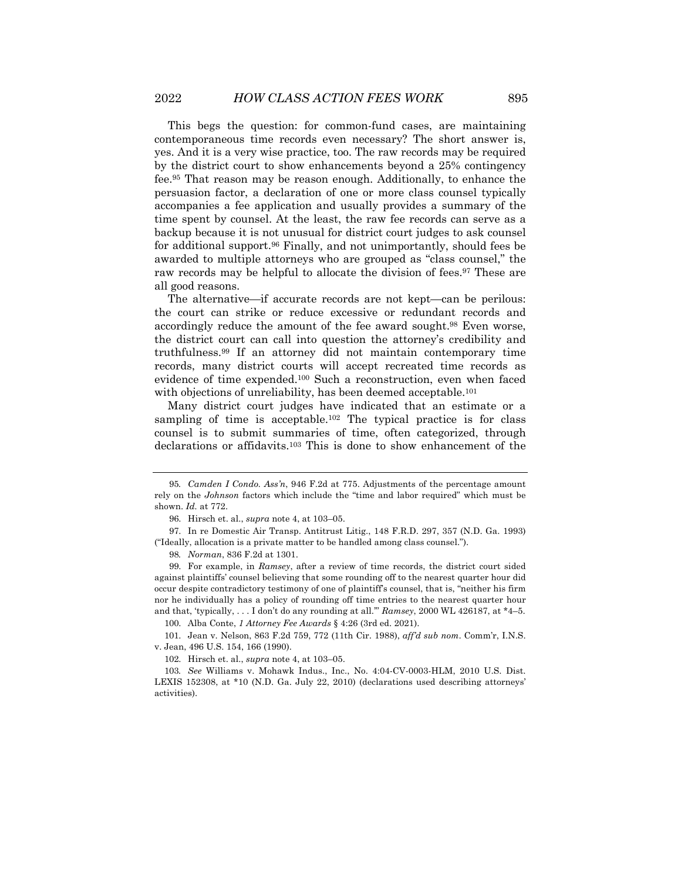This begs the question: for common-fund cases, are maintaining contemporaneous time records even necessary? The short answer is, yes. And it is a very wise practice, too. The raw records may be required by the district court to show enhancements beyond a 25% contingency fee.95 That reason may be reason enough. Additionally, to enhance the persuasion factor, a declaration of one or more class counsel typically accompanies a fee application and usually provides a summary of the time spent by counsel. At the least, the raw fee records can serve as a backup because it is not unusual for district court judges to ask counsel for additional support.96 Finally, and not unimportantly, should fees be awarded to multiple attorneys who are grouped as "class counsel," the raw records may be helpful to allocate the division of fees.97 These are all good reasons.

The alternative—if accurate records are not kept—can be perilous: the court can strike or reduce excessive or redundant records and accordingly reduce the amount of the fee award sought.98 Even worse, the district court can call into question the attorney's credibility and truthfulness.99 If an attorney did not maintain contemporary time records, many district courts will accept recreated time records as evidence of time expended.100 Such a reconstruction, even when faced with objections of unreliability, has been deemed acceptable.<sup>101</sup>

Many district court judges have indicated that an estimate or a sampling of time is acceptable.102 The typical practice is for class counsel is to submit summaries of time, often categorized, through declarations or affidavits.103 This is done to show enhancement of the

<sup>95</sup>*. Camden I Condo. Ass'n*, 946 F.2d at 775. Adjustments of the percentage amount rely on the *Johnson* factors which include the "time and labor required" which must be shown. *Id.* at 772.

<sup>96.</sup> Hirsch et. al., *supra* note 4, at 103–05.

<sup>97.</sup> In re Domestic Air Transp. Antitrust Litig., 148 F.R.D. 297, 357 (N.D. Ga. 1993) ("Ideally, allocation is a private matter to be handled among class counsel.").

<sup>98</sup>*. Norman*, 836 F.2d at 1301.

<sup>99.</sup> For example, in *Ramsey*, after a review of time records, the district court sided against plaintiffs' counsel believing that some rounding off to the nearest quarter hour did occur despite contradictory testimony of one of plaintiff's counsel, that is, "neither his firm nor he individually has a policy of rounding off time entries to the nearest quarter hour and that, 'typically, . . . I don't do any rounding at all.'" *Ramsey*, 2000 WL 426187, at \*4–5.

<sup>100.</sup> Alba Conte, *1 Attorney Fee Awards* § 4:26 (3rd ed. 2021).

<sup>101.</sup> Jean v. Nelson, 863 F.2d 759, 772 (11th Cir. 1988), *aff'd sub nom*. Comm'r, I.N.S. v. Jean, 496 U.S. 154, 166 (1990).

<sup>102.</sup> Hirsch et. al., *supra* note 4, at 103–05.

<sup>103</sup>*. See* Williams v. Mohawk Indus., Inc., No. 4:04-CV-0003-HLM, 2010 U.S. Dist. LEXIS 152308, at \*10 (N.D. Ga. July 22, 2010) (declarations used describing attorneys' activities).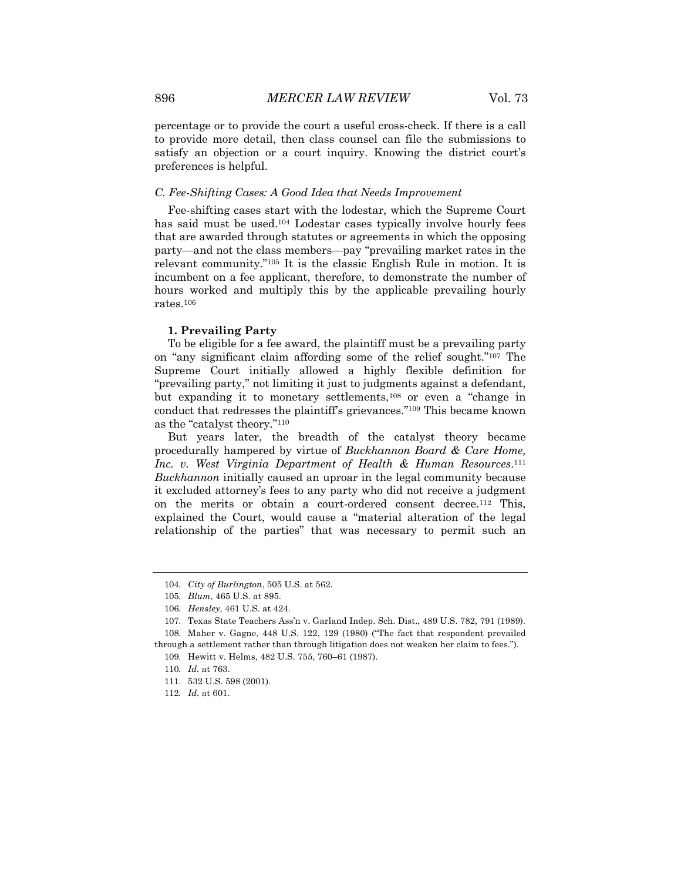percentage or to provide the court a useful cross-check. If there is a call to provide more detail, then class counsel can file the submissions to satisfy an objection or a court inquiry. Knowing the district court's preferences is helpful.

#### *C. Fee-Shifting Cases: A Good Idea that Needs Improvement*

Fee-shifting cases start with the lodestar, which the Supreme Court has said must be used.104 Lodestar cases typically involve hourly fees that are awarded through statutes or agreements in which the opposing party—and not the class members—pay "prevailing market rates in the relevant community."105 It is the classic English Rule in motion. It is incumbent on a fee applicant, therefore, to demonstrate the number of hours worked and multiply this by the applicable prevailing hourly rates.106

#### **1. Prevailing Party**

To be eligible for a fee award, the plaintiff must be a prevailing party on "any significant claim affording some of the relief sought."107 The Supreme Court initially allowed a highly flexible definition for "prevailing party," not limiting it just to judgments against a defendant, but expanding it to monetary settlements,108 or even a "change in conduct that redresses the plaintiff's grievances."109 This became known as the "catalyst theory."110

But years later, the breadth of the catalyst theory became procedurally hampered by virtue of *Buckhannon Board & Care Home, Inc. v. West Virginia Department of Health & Human Resources*.111 *Buckhannon* initially caused an uproar in the legal community because it excluded attorney's fees to any party who did not receive a judgment on the merits or obtain a court-ordered consent decree.112 This, explained the Court, would cause a "material alteration of the legal relationship of the parties" that was necessary to permit such an

<sup>104</sup>*. City of Burlington*, 505 U.S. at 562.

<sup>105</sup>*. Blum*, 465 U.S. at 895.

<sup>106</sup>*. Hensley*, 461 U.S. at 424.

<sup>107.</sup> Texas State Teachers Ass'n v. Garland Indep. Sch. Dist., 489 U.S. 782, 791 (1989). 108. Maher v. Gagne, 448 U.S. 122, 129 (1980) ("The fact that respondent prevailed through a settlement rather than through litigation does not weaken her claim to fees.").

<sup>109.</sup> Hewitt v. Helms, 482 U.S. 755, 760–61 (1987).

<sup>110</sup>*. Id.* at 763.

<sup>111.</sup> 532 U.S. 598 (2001).

<sup>112</sup>*. Id.* at 601.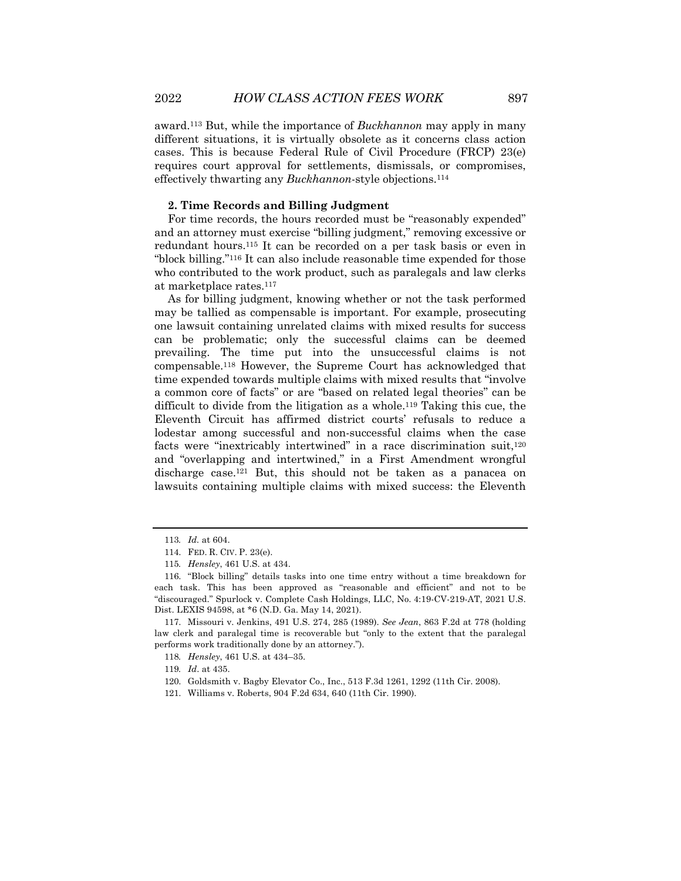award.113 But, while the importance of *Buckhannon* may apply in many different situations, it is virtually obsolete as it concerns class action cases. This is because Federal Rule of Civil Procedure (FRCP) 23(e) requires court approval for settlements, dismissals, or compromises, effectively thwarting any *Buckhannon*-style objections.114

#### **2. Time Records and Billing Judgment**

For time records, the hours recorded must be "reasonably expended" and an attorney must exercise "billing judgment," removing excessive or redundant hours.115 It can be recorded on a per task basis or even in "block billing."116 It can also include reasonable time expended for those who contributed to the work product, such as paralegals and law clerks at marketplace rates.117

As for billing judgment, knowing whether or not the task performed may be tallied as compensable is important. For example, prosecuting one lawsuit containing unrelated claims with mixed results for success can be problematic; only the successful claims can be deemed prevailing. The time put into the unsuccessful claims is not compensable.118 However, the Supreme Court has acknowledged that time expended towards multiple claims with mixed results that "involve a common core of facts" or are "based on related legal theories" can be difficult to divide from the litigation as a whole.119 Taking this cue, the Eleventh Circuit has affirmed district courts' refusals to reduce a lodestar among successful and non-successful claims when the case facts were "inextricably intertwined" in a race discrimination suit,120 and "overlapping and intertwined," in a First Amendment wrongful discharge case.121 But, this should not be taken as a panacea on lawsuits containing multiple claims with mixed success: the Eleventh

<sup>113</sup>*. Id.* at 604.

<sup>114.</sup> FED. R. CIV. P. 23(e).

<sup>115</sup>*. Hensley*, 461 U.S. at 434.

<sup>116.</sup> "Block billing" details tasks into one time entry without a time breakdown for each task. This has been approved as "reasonable and efficient" and not to be "discouraged." Spurlock v. Complete Cash Holdings, LLC, No. 4:19-CV-219-AT, 2021 U.S. Dist. LEXIS 94598, at \*6 (N.D. Ga. May 14, 2021).

<sup>117.</sup> Missouri v. Jenkins, 491 U.S. 274, 285 (1989). *See Jean*, 863 F.2d at 778 (holding law clerk and paralegal time is recoverable but "only to the extent that the paralegal performs work traditionally done by an attorney.").

<sup>118</sup>*. Hensley*, 461 U.S. at 434–35.

<sup>119</sup>*. Id*. at 435.

<sup>120.</sup> Goldsmith v. Bagby Elevator Co., Inc., 513 F.3d 1261, 1292 (11th Cir. 2008).

<sup>121.</sup> Williams v. Roberts, 904 F.2d 634, 640 (11th Cir. 1990).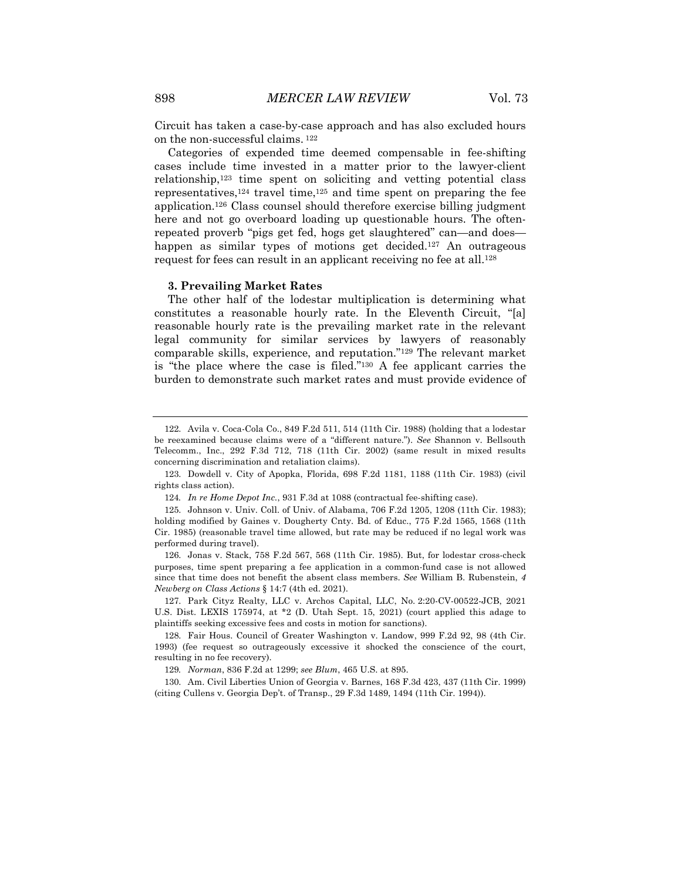Circuit has taken a case-by-case approach and has also excluded hours on the non-successful claims. <sup>122</sup>

Categories of expended time deemed compensable in fee-shifting cases include time invested in a matter prior to the lawyer-client relationship,123 time spent on soliciting and vetting potential class representatives, $124$  travel time, $125$  and time spent on preparing the fee application.126 Class counsel should therefore exercise billing judgment here and not go overboard loading up questionable hours. The oftenrepeated proverb "pigs get fed, hogs get slaughtered" can—and does happen as similar types of motions get decided.<sup>127</sup> An outrageous request for fees can result in an applicant receiving no fee at all.<sup>128</sup>

#### **3. Prevailing Market Rates**

The other half of the lodestar multiplication is determining what constitutes a reasonable hourly rate. In the Eleventh Circuit, "[a] reasonable hourly rate is the prevailing market rate in the relevant legal community for similar services by lawyers of reasonably comparable skills, experience, and reputation."129 The relevant market is "the place where the case is filed."130 A fee applicant carries the burden to demonstrate such market rates and must provide evidence of

<sup>122.</sup> Avila v. Coca-Cola Co., 849 F.2d 511, 514 (11th Cir. 1988) (holding that a lodestar be reexamined because claims were of a "different nature."). *See* Shannon v. Bellsouth Telecomm., Inc., 292 F.3d 712, 718 (11th Cir. 2002) (same result in mixed results concerning discrimination and retaliation claims).

<sup>123.</sup> Dowdell v. City of Apopka, Florida, 698 F.2d 1181, 1188 (11th Cir. 1983) (civil rights class action).

<sup>124</sup>*. In re Home Depot Inc.*, 931 F.3d at 1088 (contractual fee-shifting case).

<sup>125.</sup> Johnson v. Univ. Coll. of Univ. of Alabama, 706 F.2d 1205, 1208 (11th Cir. 1983); holding modified by Gaines v. Dougherty Cnty. Bd. of Educ., 775 F.2d 1565, 1568 (11th Cir. 1985) (reasonable travel time allowed, but rate may be reduced if no legal work was performed during travel).

<sup>126.</sup> Jonas v. Stack, 758 F.2d 567, 568 (11th Cir. 1985). But, for lodestar cross-check purposes, time spent preparing a fee application in a common-fund case is not allowed since that time does not benefit the absent class members. *See* William B. Rubenstein, *4 Newberg on Class Actions* § 14:7 (4th ed. 2021).

<sup>127.</sup> Park Cityz Realty, LLC v. Archos Capital, LLC, No. 2:20-CV-00522-JCB, 2021 U.S. Dist. LEXIS 175974, at \*2 (D. Utah Sept. 15, 2021) (court applied this adage to plaintiffs seeking excessive fees and costs in motion for sanctions).

<sup>128.</sup> Fair Hous. Council of Greater Washington v. Landow, 999 F.2d 92, 98 (4th Cir. 1993) (fee request so outrageously excessive it shocked the conscience of the court, resulting in no fee recovery).

<sup>129</sup>*. Norman*, 836 F.2d at 1299; *see Blum*, 465 U.S. at 895.

<sup>130.</sup> Am. Civil Liberties Union of Georgia v. Barnes, 168 F.3d 423, 437 (11th Cir. 1999) (citing Cullens v. Georgia Dep't. of Transp., 29 F.3d 1489, 1494 (11th Cir. 1994)).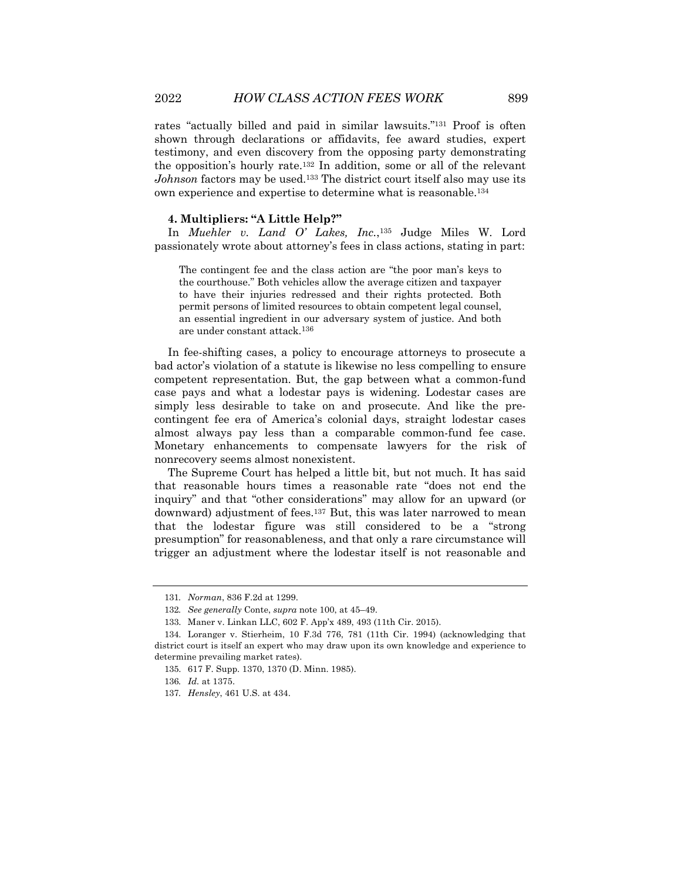rates "actually billed and paid in similar lawsuits."131 Proof is often shown through declarations or affidavits, fee award studies, expert testimony, and even discovery from the opposing party demonstrating the opposition's hourly rate.132 In addition, some or all of the relevant *Johnson* factors may be used.<sup>133</sup> The district court itself also may use its own experience and expertise to determine what is reasonable.134

#### **4. Multipliers: "A Little Help?"**

In *Muehler v. Land O' Lakes, Inc.*,135 Judge Miles W. Lord passionately wrote about attorney's fees in class actions, stating in part:

The contingent fee and the class action are "the poor man's keys to the courthouse." Both vehicles allow the average citizen and taxpayer to have their injuries redressed and their rights protected. Both permit persons of limited resources to obtain competent legal counsel, an essential ingredient in our adversary system of justice. And both are under constant attack.136

In fee-shifting cases, a policy to encourage attorneys to prosecute a bad actor's violation of a statute is likewise no less compelling to ensure competent representation. But, the gap between what a common-fund case pays and what a lodestar pays is widening. Lodestar cases are simply less desirable to take on and prosecute. And like the precontingent fee era of America's colonial days, straight lodestar cases almost always pay less than a comparable common-fund fee case. Monetary enhancements to compensate lawyers for the risk of nonrecovery seems almost nonexistent.

The Supreme Court has helped a little bit, but not much. It has said that reasonable hours times a reasonable rate "does not end the inquiry" and that "other considerations" may allow for an upward (or downward) adjustment of fees.<sup>137</sup> But, this was later narrowed to mean that the lodestar figure was still considered to be a "strong presumption" for reasonableness, and that only a rare circumstance will trigger an adjustment where the lodestar itself is not reasonable and

<sup>131</sup>*. Norman*, 836 F.2d at 1299.

<sup>132</sup>*. See generally* Conte, *supra* note 100, at 45–49.

<sup>133.</sup> Maner v. Linkan LLC, 602 F. App'x 489, 493 (11th Cir. 2015).

<sup>134.</sup> Loranger v. Stierheim, 10 F.3d 776, 781 (11th Cir. 1994) (acknowledging that district court is itself an expert who may draw upon its own knowledge and experience to determine prevailing market rates).

<sup>135.</sup> 617 F. Supp. 1370, 1370 (D. Minn. 1985).

<sup>136</sup>*. Id.* at 1375.

<sup>137</sup>*. Hensley*, 461 U.S. at 434.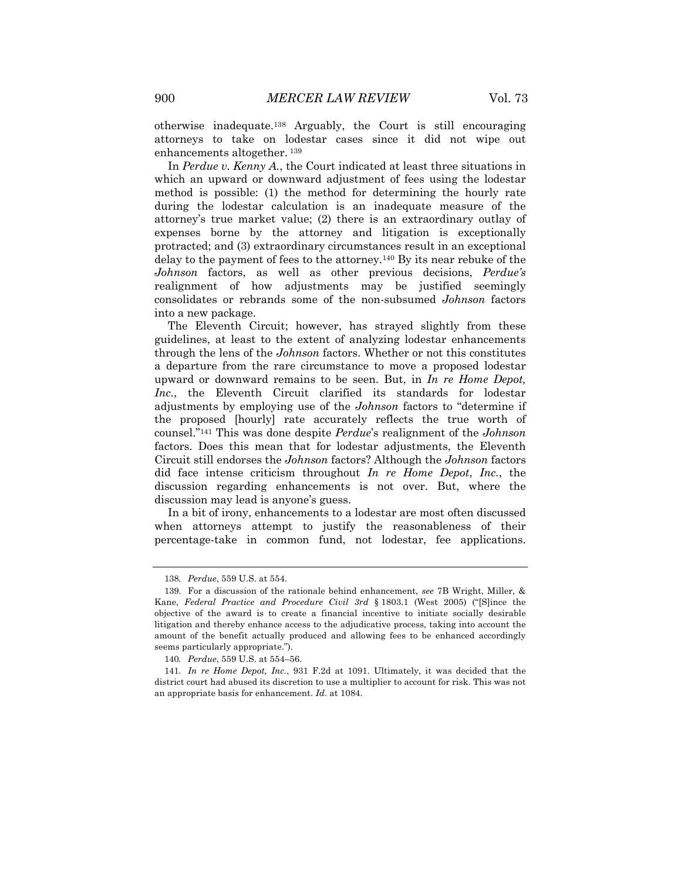otherwise inadequate.138 Arguably, the Court is still encouraging attorneys to take on lodestar cases since it did not wipe out enhancements altogether. <sup>139</sup>

In *Perdue v. Kenny A.*, the Court indicated at least three situations in which an upward or downward adjustment of fees using the lodestar method is possible: (1) the method for determining the hourly rate during the lodestar calculation is an inadequate measure of the attorney's true market value; (2) there is an extraordinary outlay of expenses borne by the attorney and litigation is exceptionally protracted; and (3) extraordinary circumstances result in an exceptional delay to the payment of fees to the attorney.140 By its near rebuke of the *Johnson* factors, as well as other previous decisions, *Perdue's* realignment of how adjustments may be justified seemingly consolidates or rebrands some of the non-subsumed *Johnson* factors into a new package.

The Eleventh Circuit; however, has strayed slightly from these guidelines, at least to the extent of analyzing lodestar enhancements through the lens of the *Johnson* factors. Whether or not this constitutes a departure from the rare circumstance to move a proposed lodestar upward or downward remains to be seen. But, in *In re Home Depot, Inc.*, the Eleventh Circuit clarified its standards for lodestar adjustments by employing use of the *Johnson* factors to "determine if the proposed [hourly] rate accurately reflects the true worth of counsel."141 This was done despite *Perdue*'s realignment of the *Johnson* factors. Does this mean that for lodestar adjustments, the Eleventh Circuit still endorses the *Johnson* factors? Although the *Johnson* factors did face intense criticism throughout *In re Home Depot*, *Inc.*, the discussion regarding enhancements is not over. But, where the discussion may lead is anyone's guess.

In a bit of irony, enhancements to a lodestar are most often discussed when attorneys attempt to justify the reasonableness of their percentage-take in common fund, not lodestar, fee applications.

<sup>138</sup>*. Perdue*, 559 U.S. at 554.

<sup>139.</sup> For a discussion of the rationale behind enhancement, *see* 7B Wright, Miller, & Kane, *Federal Practice and Procedure Civil 3rd* § 1803.1 (West 2005) ("[S]ince the objective of the award is to create a financial incentive to initiate socially desirable litigation and thereby enhance access to the adjudicative process, taking into account the amount of the benefit actually produced and allowing fees to be enhanced accordingly seems particularly appropriate.").

<sup>140</sup>*. Perdue*, 559 U.S. at 554–56.

<sup>141</sup>*. In re Home Depot, Inc.*, 931 F.2d at 1091. Ultimately, it was decided that the district court had abused its discretion to use a multiplier to account for risk. This was not an appropriate basis for enhancement. *Id*. at 1084.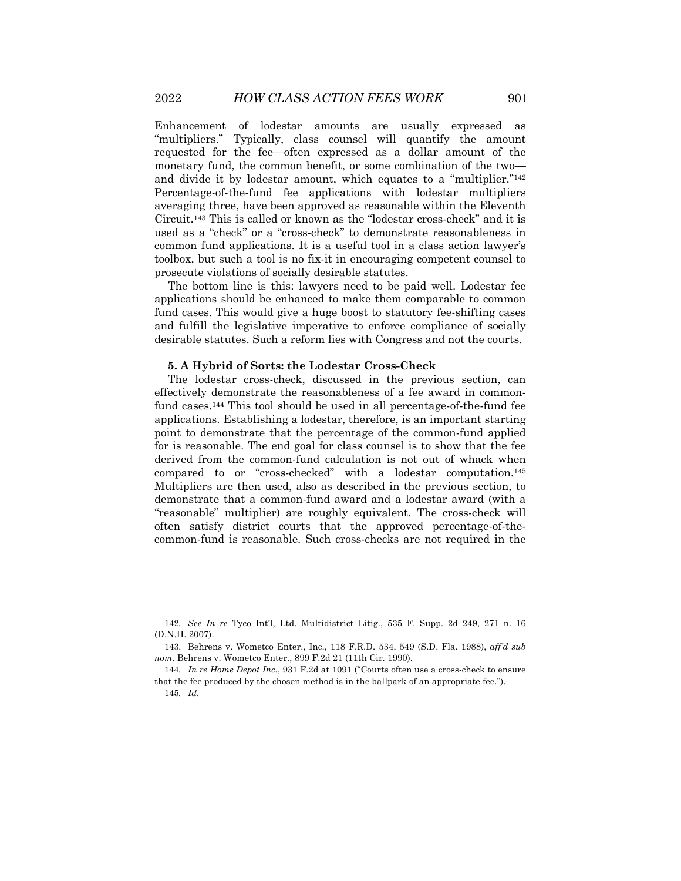Enhancement of lodestar amounts are usually expressed as "multipliers." Typically, class counsel will quantify the amount requested for the fee—often expressed as a dollar amount of the monetary fund, the common benefit, or some combination of the two and divide it by lodestar amount, which equates to a "multiplier."142 Percentage-of-the-fund fee applications with lodestar multipliers averaging three, have been approved as reasonable within the Eleventh Circuit.143 This is called or known as the "lodestar cross-check" and it is used as a "check" or a "cross-check" to demonstrate reasonableness in common fund applications. It is a useful tool in a class action lawyer's toolbox, but such a tool is no fix-it in encouraging competent counsel to prosecute violations of socially desirable statutes.

The bottom line is this: lawyers need to be paid well. Lodestar fee applications should be enhanced to make them comparable to common fund cases. This would give a huge boost to statutory fee-shifting cases and fulfill the legislative imperative to enforce compliance of socially desirable statutes. Such a reform lies with Congress and not the courts.

#### **5. A Hybrid of Sorts: the Lodestar Cross-Check**

The lodestar cross-check, discussed in the previous section, can effectively demonstrate the reasonableness of a fee award in commonfund cases.144 This tool should be used in all percentage-of-the-fund fee applications. Establishing a lodestar, therefore, is an important starting point to demonstrate that the percentage of the common-fund applied for is reasonable. The end goal for class counsel is to show that the fee derived from the common-fund calculation is not out of whack when compared to or "cross-checked" with a lodestar computation.145 Multipliers are then used, also as described in the previous section, to demonstrate that a common-fund award and a lodestar award (with a "reasonable" multiplier) are roughly equivalent. The cross-check will often satisfy district courts that the approved percentage-of-thecommon-fund is reasonable. Such cross-checks are not required in the

<sup>142</sup>*. See In re* Tyco Int'l, Ltd. Multidistrict Litig., 535 F. Supp. 2d 249, 271 n. 16 (D.N.H. 2007).

<sup>143.</sup> Behrens v. Wometco Enter., Inc., 118 F.R.D. 534, 549 (S.D. Fla. 1988), *aff'd sub nom*. Behrens v. Wometco Enter., 899 F.2d 21 (11th Cir. 1990).

<sup>144</sup>*. In re Home Depot Inc.*, 931 F.2d at 1091 ("Courts often use a cross-check to ensure that the fee produced by the chosen method is in the ballpark of an appropriate fee.").

<sup>145</sup>*. Id.*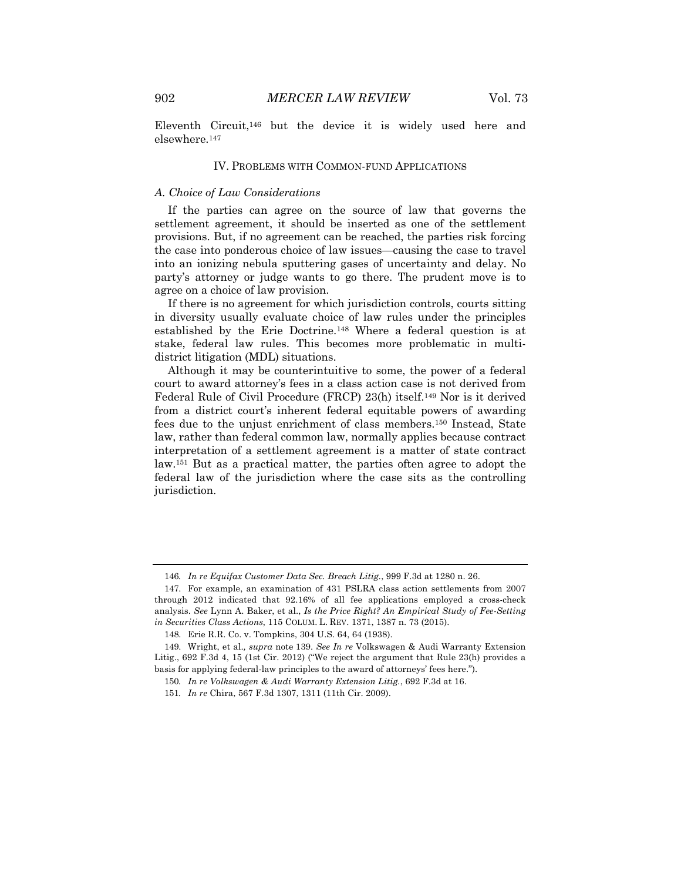Eleventh Circuit,146 but the device it is widely used here and elsewhere.147

#### IV. PROBLEMS WITH COMMON-FUND APPLICATIONS

#### *A. Choice of Law Considerations*

If the parties can agree on the source of law that governs the settlement agreement, it should be inserted as one of the settlement provisions. But, if no agreement can be reached, the parties risk forcing the case into ponderous choice of law issues—causing the case to travel into an ionizing nebula sputtering gases of uncertainty and delay. No party's attorney or judge wants to go there. The prudent move is to agree on a choice of law provision.

If there is no agreement for which jurisdiction controls, courts sitting in diversity usually evaluate choice of law rules under the principles established by the Erie Doctrine.148 Where a federal question is at stake, federal law rules. This becomes more problematic in multidistrict litigation (MDL) situations.

Although it may be counterintuitive to some, the power of a federal court to award attorney's fees in a class action case is not derived from Federal Rule of Civil Procedure (FRCP) 23(h) itself.149 Nor is it derived from a district court's inherent federal equitable powers of awarding fees due to the unjust enrichment of class members.150 Instead, State law, rather than federal common law, normally applies because contract interpretation of a settlement agreement is a matter of state contract law.151 But as a practical matter, the parties often agree to adopt the federal law of the jurisdiction where the case sits as the controlling jurisdiction.

<sup>146</sup>*. In re Equifax Customer Data Sec. Breach Litig.*, 999 F.3d at 1280 n. 26.

<sup>147.</sup> For example, an examination of 431 PSLRA class action settlements from 2007 through 2012 indicated that 92.16% of all fee applications employed a cross-check analysis. *See* Lynn A. Baker, et al., *Is the Price Right? An Empirical Study of Fee-Setting in Securities Class Actions*, 115 COLUM. L. REV. 1371, 1387 n. 73 (2015).

<sup>148.</sup> Erie R.R. Co. v. Tompkins, 304 U.S. 64, 64 (1938).

<sup>149.</sup> Wright, et al.*, supra* note 139. *See In re* Volkswagen & Audi Warranty Extension Litig., 692 F.3d 4, 15 (1st Cir. 2012) ("We reject the argument that Rule 23(h) provides a basis for applying federal-law principles to the award of attorneys' fees here.").

<sup>150</sup>*. In re Volkswagen & Audi Warranty Extension Litig.*, 692 F.3d at 16.

<sup>151</sup>*. In re* Chira, 567 F.3d 1307, 1311 (11th Cir. 2009).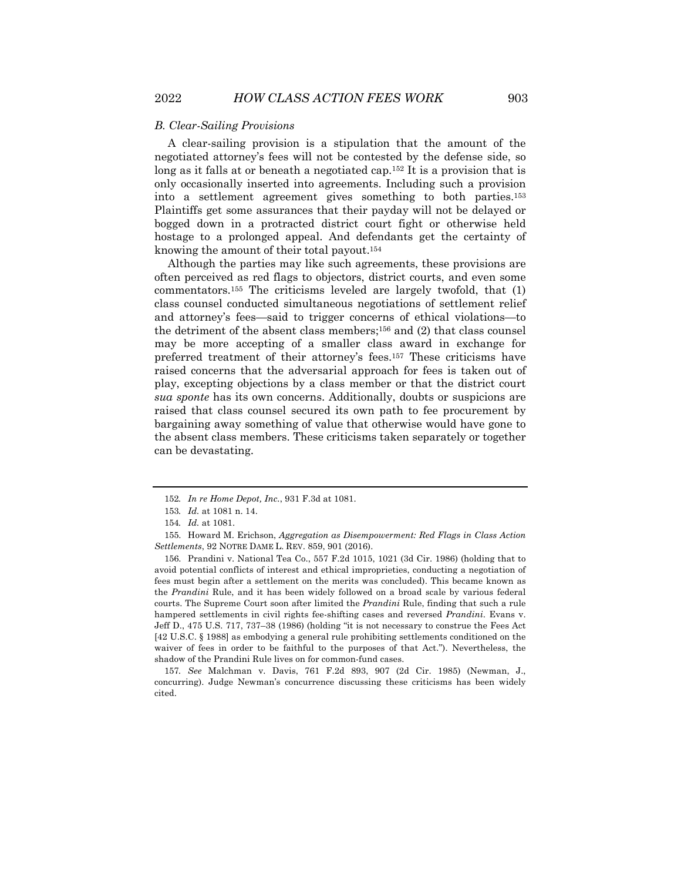#### *B. Clear-Sailing Provisions*

A clear-sailing provision is a stipulation that the amount of the negotiated attorney's fees will not be contested by the defense side, so long as it falls at or beneath a negotiated cap.152 It is a provision that is only occasionally inserted into agreements. Including such a provision into a settlement agreement gives something to both parties.153 Plaintiffs get some assurances that their payday will not be delayed or bogged down in a protracted district court fight or otherwise held hostage to a prolonged appeal. And defendants get the certainty of knowing the amount of their total payout.154

Although the parties may like such agreements, these provisions are often perceived as red flags to objectors, district courts, and even some commentators.155 The criticisms leveled are largely twofold, that (1) class counsel conducted simultaneous negotiations of settlement relief and attorney's fees—said to trigger concerns of ethical violations—to the detriment of the absent class members;<sup>156</sup> and (2) that class counsel may be more accepting of a smaller class award in exchange for preferred treatment of their attorney's fees.157 These criticisms have raised concerns that the adversarial approach for fees is taken out of play, excepting objections by a class member or that the district court *sua sponte* has its own concerns. Additionally, doubts or suspicions are raised that class counsel secured its own path to fee procurement by bargaining away something of value that otherwise would have gone to the absent class members. These criticisms taken separately or together can be devastating.

<sup>152</sup>*. In re Home Depot, Inc.*, 931 F.3d at 1081.

<sup>153</sup>*. Id.* at 1081 n. 14.

<sup>154</sup>*. Id.* at 1081.

<sup>155.</sup> Howard M. Erichson, *Aggregation as Disempowerment: Red Flags in Class Action Settlements*, 92 NOTRE DAME L. REV. 859, 901 (2016).

<sup>156.</sup> Prandini v. National Tea Co., 557 F.2d 1015, 1021 (3d Cir. 1986) (holding that to avoid potential conflicts of interest and ethical improprieties, conducting a negotiation of fees must begin after a settlement on the merits was concluded). This became known as the *Prandini* Rule, and it has been widely followed on a broad scale by various federal courts. The Supreme Court soon after limited the *Prandini* Rule, finding that such a rule hampered settlements in civil rights fee-shifting cases and reversed *Prandini*. Evans v. Jeff D., 475 U.S. 717, 737–38 (1986) (holding "it is not necessary to construe the Fees Act [42 U.S.C. § 1988] as embodying a general rule prohibiting settlements conditioned on the waiver of fees in order to be faithful to the purposes of that Act."). Nevertheless, the shadow of the Prandini Rule lives on for common-fund cases.

<sup>157</sup>*. See* Malchman v. Davis, 761 F.2d 893, 907 (2d Cir. 1985) (Newman, J., concurring). Judge Newman's concurrence discussing these criticisms has been widely cited.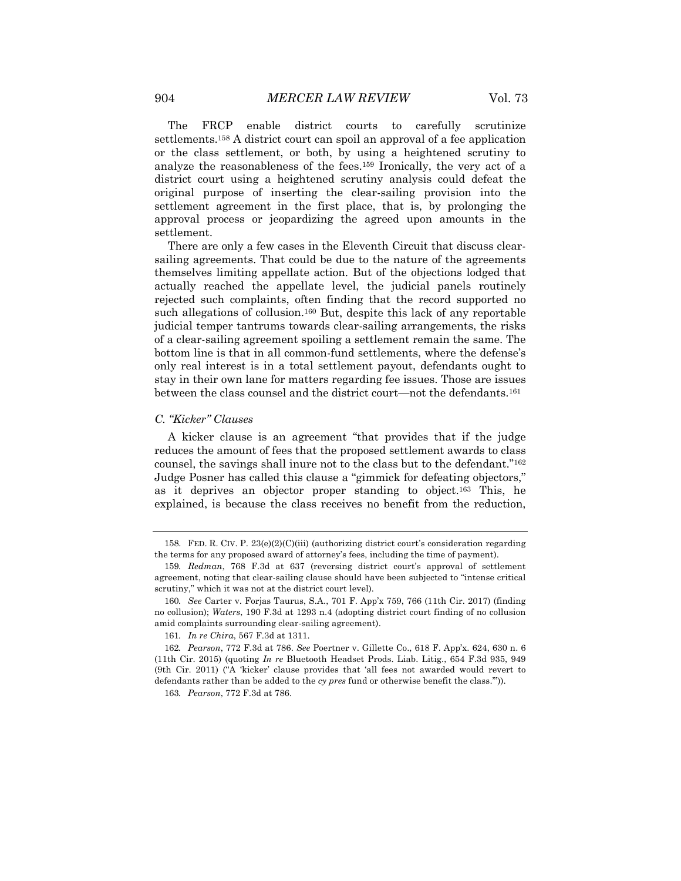The FRCP enable district courts to carefully scrutinize settlements.158 A district court can spoil an approval of a fee application or the class settlement, or both, by using a heightened scrutiny to analyze the reasonableness of the fees.159 Ironically, the very act of a district court using a heightened scrutiny analysis could defeat the original purpose of inserting the clear-sailing provision into the settlement agreement in the first place, that is, by prolonging the approval process or jeopardizing the agreed upon amounts in the settlement.

There are only a few cases in the Eleventh Circuit that discuss clearsailing agreements. That could be due to the nature of the agreements themselves limiting appellate action. But of the objections lodged that actually reached the appellate level, the judicial panels routinely rejected such complaints, often finding that the record supported no such allegations of collusion.<sup>160</sup> But, despite this lack of any reportable judicial temper tantrums towards clear-sailing arrangements, the risks of a clear-sailing agreement spoiling a settlement remain the same. The bottom line is that in all common-fund settlements, where the defense's only real interest is in a total settlement payout, defendants ought to stay in their own lane for matters regarding fee issues. Those are issues between the class counsel and the district court—not the defendants.161

#### *C. "Kicker" Clauses*

A kicker clause is an agreement "that provides that if the judge reduces the amount of fees that the proposed settlement awards to class counsel, the savings shall inure not to the class but to the defendant."162 Judge Posner has called this clause a "gimmick for defeating objectors," as it deprives an objector proper standing to object.163 This, he explained, is because the class receives no benefit from the reduction,

<sup>158.</sup> FED. R. CIV. P. 23(e)(2)(C)(iii) (authorizing district court's consideration regarding the terms for any proposed award of attorney's fees, including the time of payment).

<sup>159</sup>*. Redman*, 768 F.3d at 637 (reversing district court's approval of settlement agreement, noting that clear-sailing clause should have been subjected to "intense critical scrutiny," which it was not at the district court level).

<sup>160</sup>*. See* Carter v. Forjas Taurus, S.A., 701 F. App'x 759, 766 (11th Cir. 2017) (finding no collusion); *Waters*, 190 F.3d at 1293 n.4 (adopting district court finding of no collusion amid complaints surrounding clear-sailing agreement).

<sup>161</sup>*. In re Chira*, 567 F.3d at 1311.

<sup>162</sup>*. Pearson*, 772 F.3d at 786. *See* Poertner v. Gillette Co., 618 F. App'x. 624, 630 n. 6 (11th Cir. 2015) (quoting *In re* Bluetooth Headset Prods. Liab. Litig., 654 F.3d 935, 949 (9th Cir. 2011) ("A 'kicker' clause provides that 'all fees not awarded would revert to defendants rather than be added to the *cy pres* fund or otherwise benefit the class.'")).

<sup>163</sup>*. Pearson*, 772 F.3d at 786.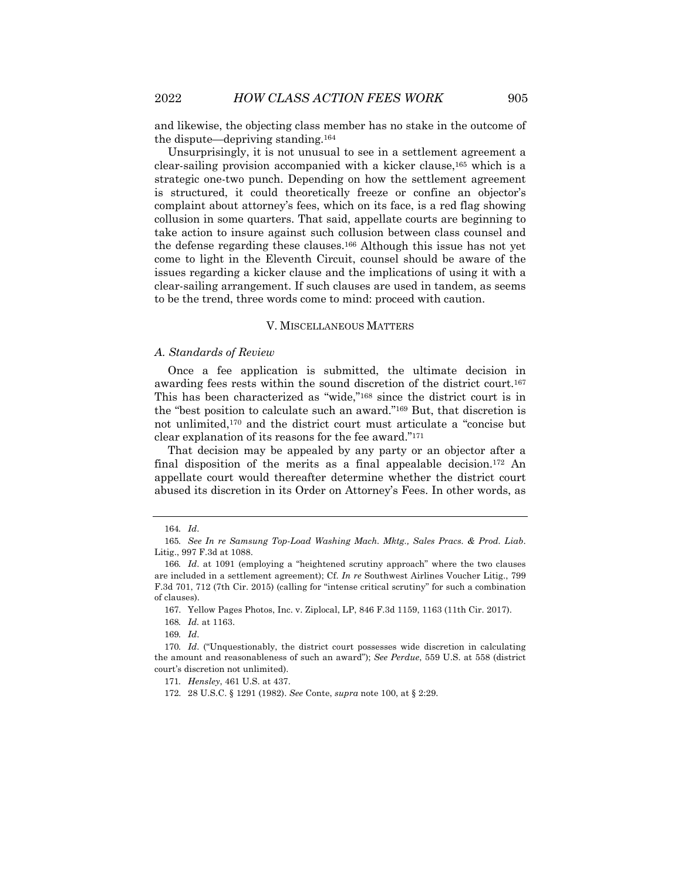and likewise, the objecting class member has no stake in the outcome of the dispute—depriving standing.164

Unsurprisingly, it is not unusual to see in a settlement agreement a clear-sailing provision accompanied with a kicker clause,165 which is a strategic one-two punch. Depending on how the settlement agreement is structured, it could theoretically freeze or confine an objector's complaint about attorney's fees, which on its face, is a red flag showing collusion in some quarters. That said, appellate courts are beginning to take action to insure against such collusion between class counsel and the defense regarding these clauses.166 Although this issue has not yet come to light in the Eleventh Circuit, counsel should be aware of the issues regarding a kicker clause and the implications of using it with a clear-sailing arrangement. If such clauses are used in tandem, as seems to be the trend, three words come to mind: proceed with caution.

#### V. MISCELLANEOUS MATTERS

#### *A. Standards of Review*

Once a fee application is submitted, the ultimate decision in awarding fees rests within the sound discretion of the district court.167 This has been characterized as "wide,"168 since the district court is in the "best position to calculate such an award."169 But, that discretion is not unlimited,170 and the district court must articulate a "concise but clear explanation of its reasons for the fee award."171

That decision may be appealed by any party or an objector after a final disposition of the merits as a final appealable decision.172 An appellate court would thereafter determine whether the district court abused its discretion in its Order on Attorney's Fees. In other words, as

<sup>164</sup>*. Id*.

<sup>165</sup>*. See In re Samsung Top-Load Washing Mach. Mktg., Sales Pracs. & Prod. Liab*. Litig., 997 F.3d at 1088.

<sup>166</sup>*. Id*. at 1091 (employing a "heightened scrutiny approach" where the two clauses are included in a settlement agreement); Cf. *In re* Southwest Airlines Voucher Litig., 799 F.3d 701, 712 (7th Cir. 2015) (calling for "intense critical scrutiny" for such a combination of clauses).

<sup>167.</sup> Yellow Pages Photos, Inc. v. Ziplocal, LP, 846 F.3d 1159, 1163 (11th Cir. 2017).

<sup>168</sup>*. Id.* at 1163.

<sup>169</sup>*. Id*.

<sup>170</sup>*. Id*. ("Unquestionably, the district court possesses wide discretion in calculating the amount and reasonableness of such an award"); *See Perdue*, 559 U.S. at 558 (district court's discretion not unlimited).

<sup>171</sup>*. Hensley*, 461 U.S. at 437.

<sup>172.</sup> 28 U.S.C. § 1291 (1982). *See* Conte, *supra* note 100, at § 2:29.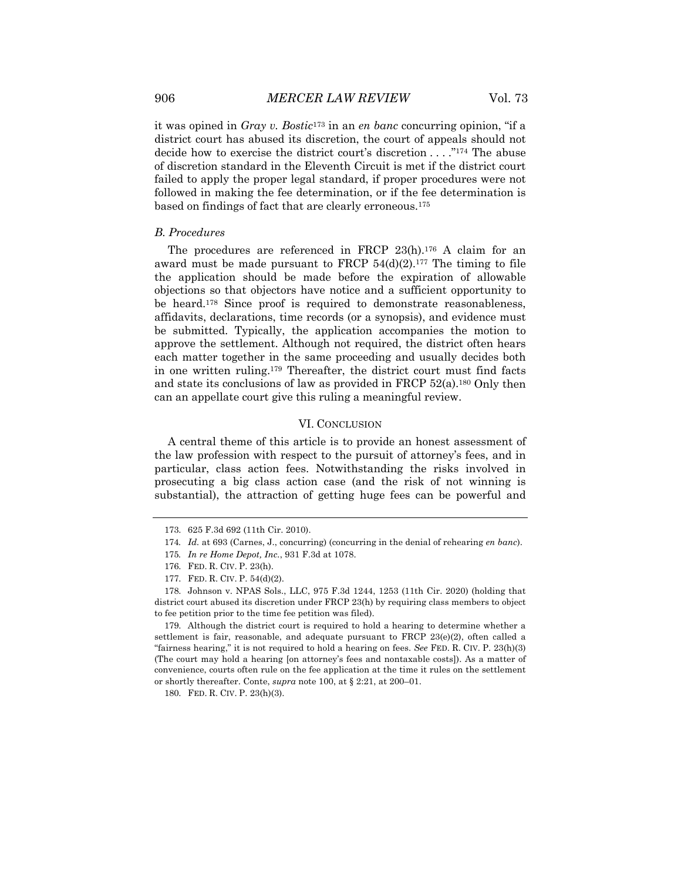it was opined in *Gray v. Bostic*<sup>173</sup> in an *en banc* concurring opinion, "if a district court has abused its discretion, the court of appeals should not decide how to exercise the district court's discretion . . . ."174 The abuse of discretion standard in the Eleventh Circuit is met if the district court failed to apply the proper legal standard, if proper procedures were not followed in making the fee determination, or if the fee determination is based on findings of fact that are clearly erroneous.175

#### *B. Procedures*

The procedures are referenced in FRCP 23(h).176 A claim for an award must be made pursuant to FRCP  $54(d)(2)$ .<sup>177</sup> The timing to file the application should be made before the expiration of allowable objections so that objectors have notice and a sufficient opportunity to be heard.178 Since proof is required to demonstrate reasonableness, affidavits, declarations, time records (or a synopsis), and evidence must be submitted. Typically, the application accompanies the motion to approve the settlement. Although not required, the district often hears each matter together in the same proceeding and usually decides both in one written ruling.179 Thereafter, the district court must find facts and state its conclusions of law as provided in FRCP 52(a).180 Only then can an appellate court give this ruling a meaningful review.

#### VI. CONCLUSION

A central theme of this article is to provide an honest assessment of the law profession with respect to the pursuit of attorney's fees, and in particular, class action fees. Notwithstanding the risks involved in prosecuting a big class action case (and the risk of not winning is substantial), the attraction of getting huge fees can be powerful and

<sup>173.</sup> 625 F.3d 692 (11th Cir. 2010).

<sup>174</sup>*. Id.* at 693 (Carnes, J., concurring) (concurring in the denial of rehearing *en banc*).

<sup>175</sup>*. In re Home Depot, Inc.*, 931 F.3d at 1078.

<sup>176.</sup> FED. R. CIV. P. 23(h).

<sup>177.</sup> FED. R. CIV. P. 54(d)(2).

<sup>178.</sup> Johnson v. NPAS Sols., LLC, 975 F.3d 1244, 1253 (11th Cir. 2020) (holding that district court abused its discretion under FRCP 23(h) by requiring class members to object to fee petition prior to the time fee petition was filed).

<sup>179.</sup> Although the district court is required to hold a hearing to determine whether a settlement is fair, reasonable, and adequate pursuant to FRCP  $23(e)(2)$ , often called a "fairness hearing," it is not required to hold a hearing on fees. *See* FED. R. CIV. P. 23(h)(3) (The court may hold a hearing [on attorney's fees and nontaxable costs]). As a matter of convenience, courts often rule on the fee application at the time it rules on the settlement or shortly thereafter. Conte, *supra* note 100, at § 2:21, at 200–01.

<sup>180.</sup> FED. R. CIV. P. 23(h)(3).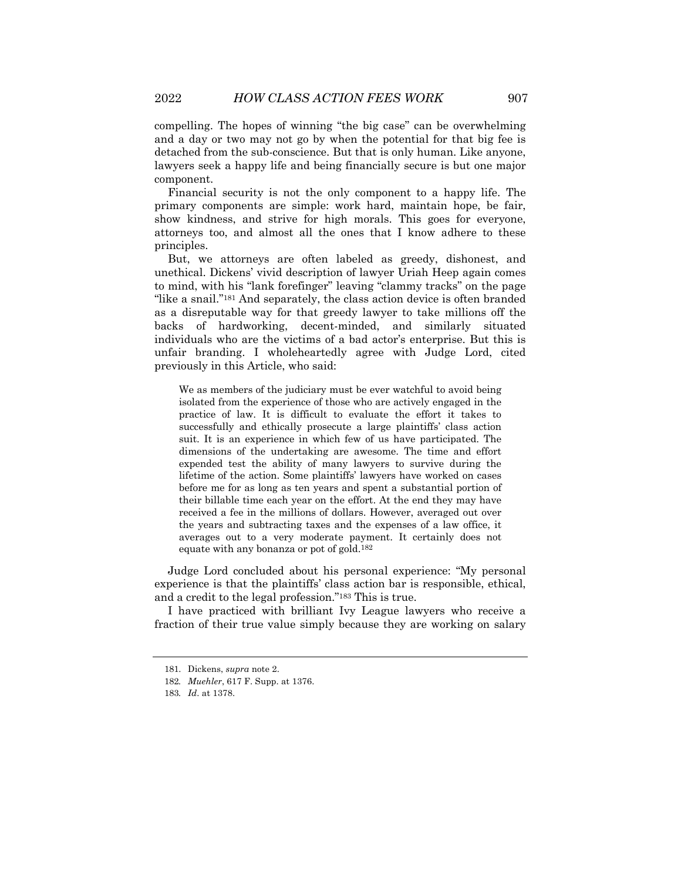compelling. The hopes of winning "the big case" can be overwhelming and a day or two may not go by when the potential for that big fee is detached from the sub-conscience. But that is only human. Like anyone, lawyers seek a happy life and being financially secure is but one major component.

Financial security is not the only component to a happy life. The primary components are simple: work hard, maintain hope, be fair, show kindness, and strive for high morals. This goes for everyone, attorneys too, and almost all the ones that I know adhere to these principles.

But, we attorneys are often labeled as greedy, dishonest, and unethical. Dickens' vivid description of lawyer Uriah Heep again comes to mind, with his "lank forefinger" leaving "clammy tracks" on the page "like a snail."<sup>181</sup> And separately, the class action device is often branded as a disreputable way for that greedy lawyer to take millions off the backs of hardworking, decent-minded, and similarly situated individuals who are the victims of a bad actor's enterprise. But this is unfair branding. I wholeheartedly agree with Judge Lord, cited previously in this Article, who said:

We as members of the judiciary must be ever watchful to avoid being isolated from the experience of those who are actively engaged in the practice of law. It is difficult to evaluate the effort it takes to successfully and ethically prosecute a large plaintiffs' class action suit. It is an experience in which few of us have participated. The dimensions of the undertaking are awesome. The time and effort expended test the ability of many lawyers to survive during the lifetime of the action. Some plaintiffs' lawyers have worked on cases before me for as long as ten years and spent a substantial portion of their billable time each year on the effort. At the end they may have received a fee in the millions of dollars. However, averaged out over the years and subtracting taxes and the expenses of a law office, it averages out to a very moderate payment. It certainly does not equate with any bonanza or pot of gold.182

Judge Lord concluded about his personal experience: "My personal experience is that the plaintiffs' class action bar is responsible, ethical, and a credit to the legal profession."183 This is true.

I have practiced with brilliant Ivy League lawyers who receive a fraction of their true value simply because they are working on salary

<sup>181.</sup> Dickens, *supra* note 2.

<sup>182</sup>*. Muehler*, 617 F. Supp. at 1376.

<sup>183</sup>*. Id*. at 1378.